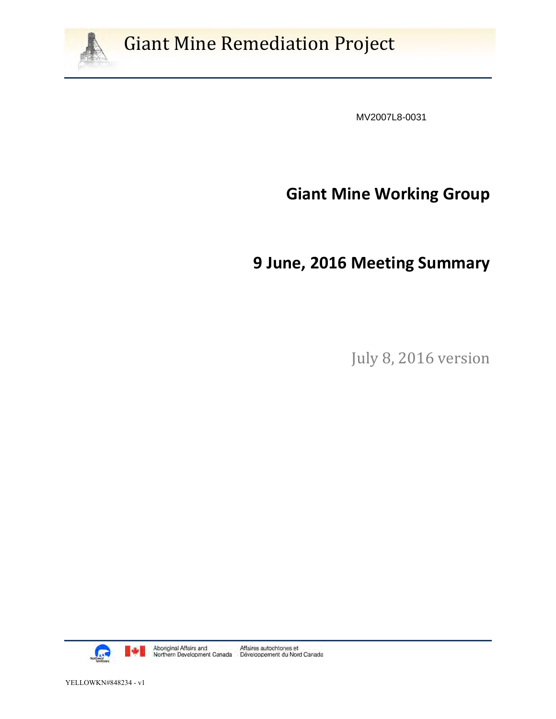

# **Giant Mine Remediation Project**

MV2007L8-0031

## **Giant Mine Working Group**

## **9 June, 2016 Meeting Summary**

July 8, 2016 version

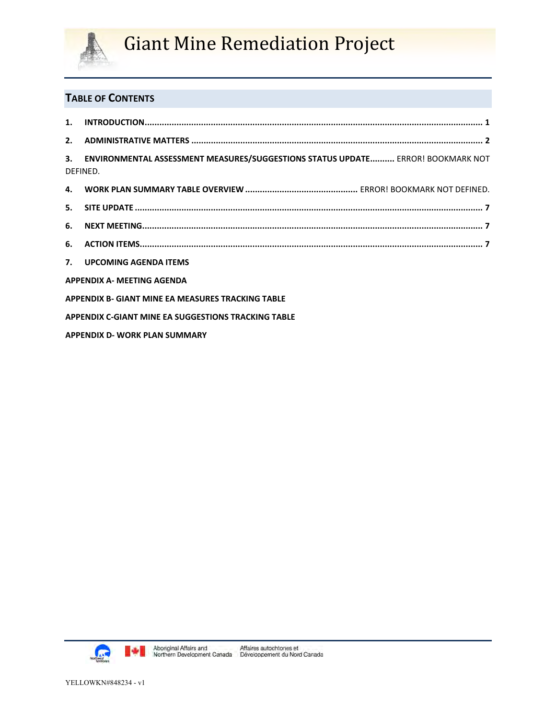

#### **TABLE OF CONTENTS**

|    | 3. ENVIRONMENTAL ASSESSMENT MEASURES/SUGGESTIONS STATUS UPDATE ERROR! BOOKMARK NOT<br>DEFINED. |
|----|------------------------------------------------------------------------------------------------|
|    |                                                                                                |
|    |                                                                                                |
|    |                                                                                                |
| 6. |                                                                                                |
|    | 7. UPCOMING AGENDA ITEMS                                                                       |
|    | <b>APPENDIX A- MEETING AGENDA</b>                                                              |
|    | APPENDIX B- GIANT MINE EA MEASURES TRACKING TABLE                                              |
|    | <b>APPENDIX C-GIANT MINE EA SUGGESTIONS TRACKING TABLE</b>                                     |
|    | APPENDIX D- WORK PLAN SUMMARY                                                                  |

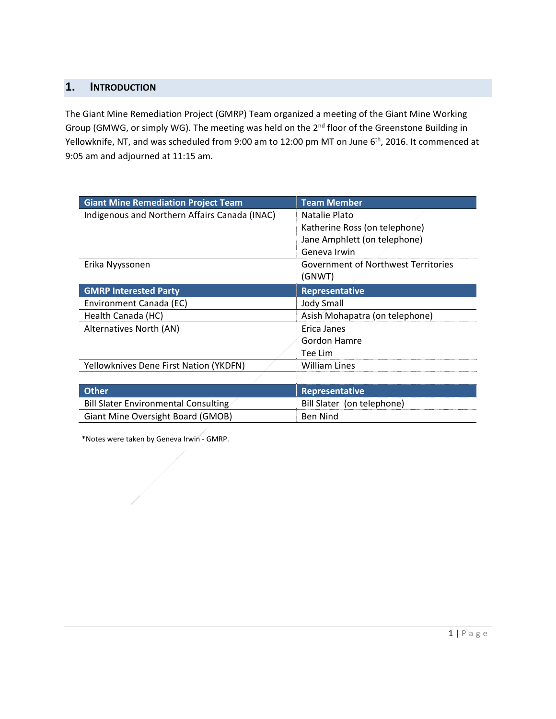#### **1. INTRODUCTION**

The Giant Mine Remediation Project (GMRP) Team organized a meeting of the Giant Mine Working Group (GMWG, or simply WG). The meeting was held on the 2<sup>nd</sup> floor of the Greenstone Building in Yellowknife, NT, and was scheduled from 9:00 am to 12:00 pm MT on June 6<sup>th</sup>, 2016. It commenced at 9:05 am and adjourned at 11:15 am.

| <b>Giant Mine Remediation Project Team</b>    | <b>Team Member</b>                  |
|-----------------------------------------------|-------------------------------------|
| Indigenous and Northern Affairs Canada (INAC) | Natalie Plato                       |
|                                               | Katherine Ross (on telephone)       |
|                                               | Jane Amphlett (on telephone)        |
|                                               | Geneva Irwin                        |
| Erika Nyyssonen                               | Government of Northwest Territories |
|                                               | (GNWT)                              |
| <b>GMRP Interested Party</b>                  | <b>Representative</b>               |
| Environment Canada (EC)                       | <b>Jody Small</b>                   |
| Health Canada (HC)                            | Asish Mohapatra (on telephone)      |
| Alternatives North (AN)                       | Erica Janes                         |
|                                               | Gordon Hamre                        |
|                                               | Tee Lim                             |
| <b>Yellowknives Dene First Nation (YKDFN)</b> | <b>William Lines</b>                |
|                                               |                                     |
| <b>Other</b>                                  | <b>Representative</b>               |
| <b>Bill Slater Environmental Consulting</b>   | Bill Slater (on telephone)          |
| Giant Mine Oversight Board (GMOB)             | <b>Ben Nind</b>                     |

\*Notes were taken by Geneva Irwin ‐ GMRP.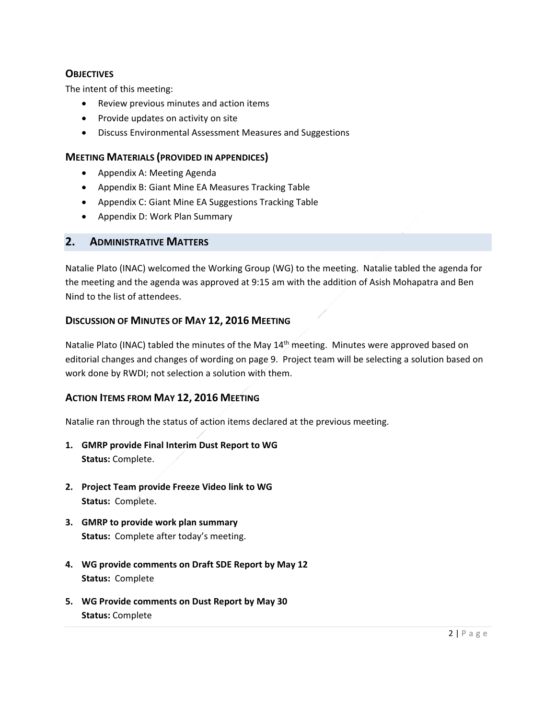#### **OBJECTIVES**

The intent of this meeting:

- Review previous minutes and action items
- Provide updates on activity on site
- Discuss Environmental Assessment Measures and Suggestions

#### **MEETING MATERIALS (PROVIDED IN APPENDICES)**

- Appendix A: Meeting Agenda
- Appendix B: Giant Mine EA Measures Tracking Table
- Appendix C: Giant Mine EA Suggestions Tracking Table
- Appendix D: Work Plan Summary

#### **2. ADMINISTRATIVE MATTERS**

Natalie Plato (INAC) welcomed the Working Group (WG) to the meeting. Natalie tabled the agenda for the meeting and the agenda was approved at 9:15 am with the addition of Asish Mohapatra and Ben Nind to the list of attendees.

#### **DISCUSSION OF MINUTES OF MAY 12, 2016 MEETING**

Natalie Plato (INAC) tabled the minutes of the May 14<sup>th</sup> meeting. Minutes were approved based on editorial changes and changes of wording on page 9. Project team will be selecting a solution based on work done by RWDI; not selection a solution with them.

#### **ACTION ITEMS FROM MAY 12, 2016 MEETING**

Natalie ran through the status of action items declared at the previous meeting.

- **1. GMRP provide Final Interim Dust Report to WG Status:** Complete.
- **2. Project Team provide Freeze Video link to WG Status:** Complete.
- **3. GMRP to provide work plan summary Status:** Complete after today's meeting.
- **4. WG provide comments on Draft SDE Report by May 12**  Status: Complete
- **5. WG Provide comments on Dust Report by May 30 Status:** Complete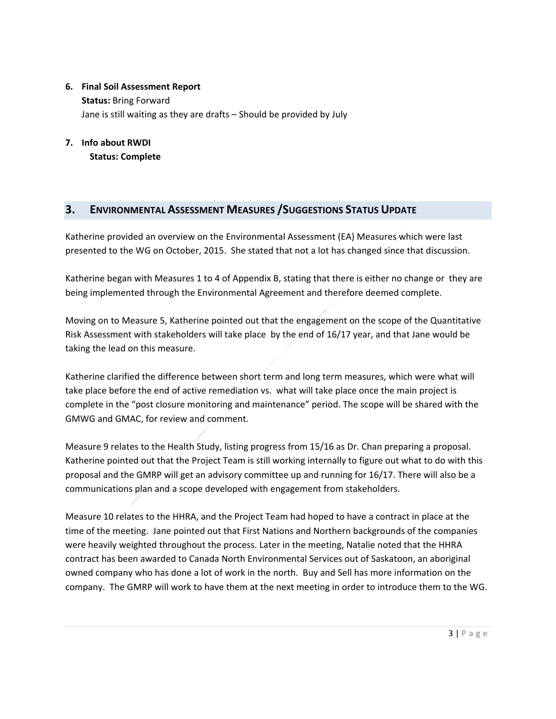#### **6. Final Soil Assessment Report Status:** Bring Forward Jane is still waiting as they are drafts – Should be provided by July

#### **7. Info about RWDI Status: Complete**

#### **3. ENVIRONMENTAL ASSESSMENT MEASURES /SUGGESTIONS STATUS UPDATE**

Katherine provided an overview on the Environmental Assessment (EA) Measures which were last presented to the WG on October, 2015. She stated that not a lot has changed since that discussion.

Katherine began with Measures 1 to 4 of Appendix B, stating that there is either no change or they are being implemented through the Environmental Agreement and therefore deemed complete.

Moving on to Measure 5, Katherine pointed out that the engagement on the scope of the Quantitative Risk Assessment with stakeholders will take place by the end of 16/17 year, and that Jane would be taking the lead on this measure.

Katherine clarified the difference between short term and long term measures, which were what will take place before the end of active remediation vs. what will take place once the main project is complete in the "post closure monitoring and maintenance" period. The scope will be shared with the GMWG and GMAC, for review and comment.

Measure 9 relates to the Health Study, listing progress from 15/16 as Dr. Chan preparing a proposal. Katherine pointed out that the Project Team is still working internally to figure out what to do with this proposal and the GMRP will get an advisory committee up and running for 16/17. There will also be a communications plan and a scope developed with engagement from stakeholders.

Measure 10 relates to the HHRA, and the Project Team had hoped to have a contract in place at the time of the meeting. Jane pointed out that First Nations and Northern backgrounds of the companies were heavily weighted throughout the process. Later in the meeting, Natalie noted that the HHRA contract has been awarded to Canada North Environmental Services out of Saskatoon, an aboriginal owned company who has done a lot of work in the north. Buy and Sell has more information on the company. The GMRP will work to have them at the next meeting in order to introduce them to the WG.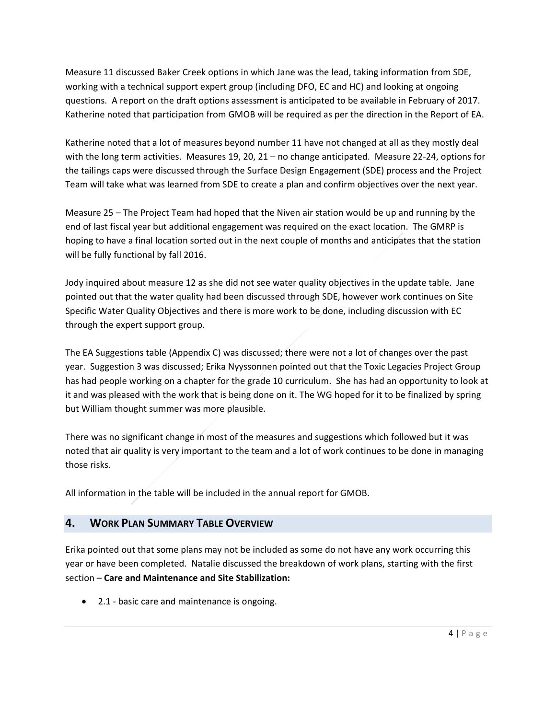Measure 11 discussed Baker Creek options in which Jane was the lead, taking information from SDE, working with a technical support expert group (including DFO, EC and HC) and looking at ongoing questions. A report on the draft options assessment is anticipated to be available in February of 2017. Katherine noted that participation from GMOB will be required as per the direction in the Report of EA.

Katherine noted that a lot of measures beyond number 11 have not changed at all as they mostly deal with the long term activities. Measures 19, 20, 21 – no change anticipated. Measure 22-24, options for the tailings caps were discussed through the Surface Design Engagement (SDE) process and the Project Team will take what was learned from SDE to create a plan and confirm objectives over the next year.

Measure 25 – The Project Team had hoped that the Niven air station would be up and running by the end of last fiscal year but additional engagement was required on the exact location. The GMRP is hoping to have a final location sorted out in the next couple of months and anticipates that the station will be fully functional by fall 2016.

Jody inquired about measure 12 as she did not see water quality objectives in the update table. Jane pointed out that the water quality had been discussed through SDE, however work continues on Site Specific Water Quality Objectives and there is more work to be done, including discussion with EC through the expert support group.

The EA Suggestions table (Appendix C) was discussed; there were not a lot of changes over the past year. Suggestion 3 was discussed; Erika Nyyssonnen pointed out that the Toxic Legacies Project Group has had people working on a chapter for the grade 10 curriculum. She has had an opportunity to look at it and was pleased with the work that is being done on it. The WG hoped for it to be finalized by spring but William thought summer was more plausible.

There was no significant change in most of the measures and suggestions which followed but it was noted that air quality is very important to the team and a lot of work continues to be done in managing those risks.

All information in the table will be included in the annual report for GMOB.

#### **4. WORK PLAN SUMMARY TABLE OVERVIEW**

Erika pointed out that some plans may not be included as some do not have any work occurring this year or have been completed. Natalie discussed the breakdown of work plans, starting with the first section – **Care and Maintenance and Site Stabilization:**

● 2.1 - basic care and maintenance is ongoing.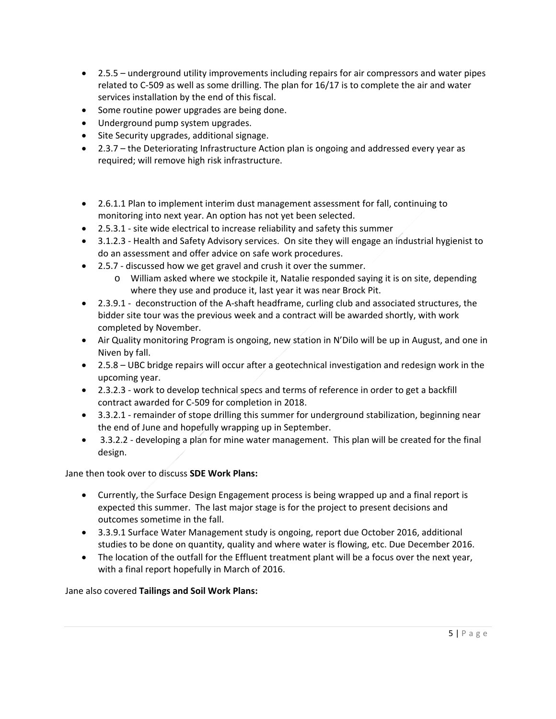- 2.5.5 underground utility improvements including repairs for air compressors and water pipes related to C‐509 as well as some drilling. The plan for 16/17 is to complete the air and water services installation by the end of this fiscal.
- Some routine power upgrades are being done.
- Underground pump system upgrades.
- Site Security upgrades, additional signage.
- 2.3.7 the Deteriorating Infrastructure Action plan is ongoing and addressed every year as required; will remove high risk infrastructure.
- 2.6.1.1 Plan to implement interim dust management assessment for fall, continuing to monitoring into next year. An option has not yet been selected.
- 2.5.3.1 site wide electrical to increase reliability and safety this summer
- 3.1.2.3 Health and Safety Advisory services. On site they will engage an industrial hygienist to do an assessment and offer advice on safe work procedures.
- 2.5.7 discussed how we get gravel and crush it over the summer.
	- o William asked where we stockpile it, Natalie responded saying it is on site, depending where they use and produce it, last year it was near Brock Pit.
- 2.3.9.1 deconstruction of the A-shaft headframe, curling club and associated structures, the bidder site tour was the previous week and a contract will be awarded shortly, with work completed by November.
- Air Quality monitoring Program is ongoing, new station in N'Dilo will be up in August, and one in Niven by fall.
- 2.5.8 UBC bridge repairs will occur after a geotechnical investigation and redesign work in the upcoming year.
- 2.3.2.3 work to develop technical specs and terms of reference in order to get a backfill contract awarded for C‐509 for completion in 2018.
- 3.3.2.1 remainder of stope drilling this summer for underground stabilization, beginning near the end of June and hopefully wrapping up in September.
- 3.3.2.2 developing a plan for mine water management. This plan will be created for the final design.

Jane then took over to discuss **SDE Work Plans:** 

- Currently, the Surface Design Engagement process is being wrapped up and a final report is expected this summer. The last major stage is for the project to present decisions and outcomes sometime in the fall.
- 3.3.9.1 Surface Water Management study is ongoing, report due October 2016, additional studies to be done on quantity, quality and where water is flowing, etc. Due December 2016.
- The location of the outfall for the Effluent treatment plant will be a focus over the next year, with a final report hopefully in March of 2016.

Jane also covered **Tailings and Soil Work Plans:**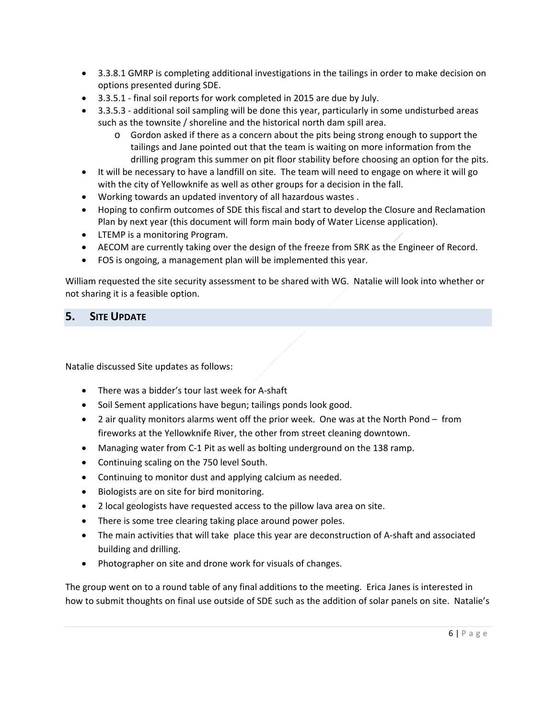- 3.3.8.1 GMRP is completing additional investigations in the tailings in order to make decision on options presented during SDE.
- 3.3.5.1 final soil reports for work completed in 2015 are due by July.
- 3.3.5.3 additional soil sampling will be done this year, particularly in some undisturbed areas such as the townsite / shoreline and the historical north dam spill area.
	- o Gordon asked if there as a concern about the pits being strong enough to support the tailings and Jane pointed out that the team is waiting on more information from the drilling program this summer on pit floor stability before choosing an option for the pits.
- It will be necessary to have a landfill on site. The team will need to engage on where it will go with the city of Yellowknife as well as other groups for a decision in the fall.
- Working towards an updated inventory of all hazardous wastes .
- Hoping to confirm outcomes of SDE this fiscal and start to develop the Closure and Reclamation Plan by next year (this document will form main body of Water License application).
- LTEMP is a monitoring Program.
- AECOM are currently taking over the design of the freeze from SRK as the Engineer of Record.
- FOS is ongoing, a management plan will be implemented this year.

William requested the site security assessment to be shared with WG. Natalie will look into whether or not sharing it is a feasible option.

#### **5. SITE UPDATE**

Natalie discussed Site updates as follows:

- There was a bidder's tour last week for A‐shaft
- Soil Sement applications have begun; tailings ponds look good.
- 2 air quality monitors alarms went off the prior week. One was at the North Pond from fireworks at the Yellowknife River, the other from street cleaning downtown.
- Managing water from C-1 Pit as well as bolting underground on the 138 ramp.
- Continuing scaling on the 750 level South.
- Continuing to monitor dust and applying calcium as needed.
- Biologists are on site for bird monitoring.
- 2 local geologists have requested access to the pillow lava area on site.
- There is some tree clearing taking place around power poles.
- The main activities that will take place this year are deconstruction of A-shaft and associated building and drilling.
- Photographer on site and drone work for visuals of changes.

The group went on to a round table of any final additions to the meeting. Erica Janes is interested in how to submit thoughts on final use outside of SDE such as the addition of solar panels on site. Natalie's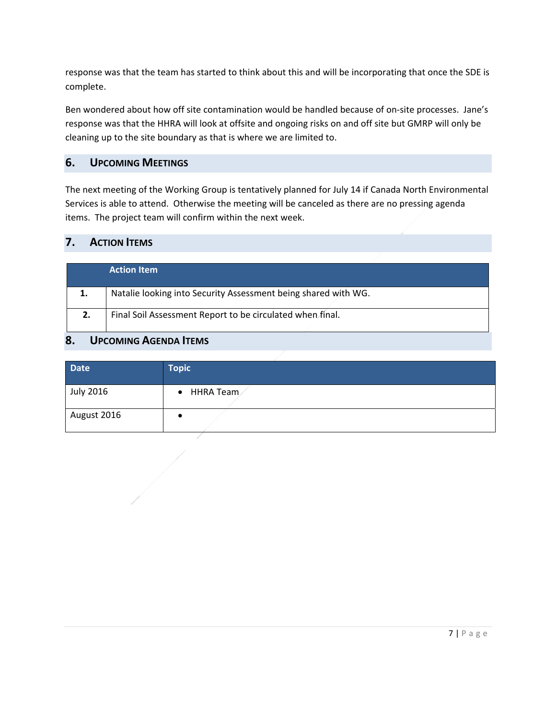response was that the team has started to think about this and will be incorporating that once the SDE is complete.

Ben wondered about how off site contamination would be handled because of on-site processes. Jane's response was that the HHRA will look at offsite and ongoing risks on and off site but GMRP will only be cleaning up to the site boundary as that is where we are limited to.

#### **6. UPCOMING MEETINGS**

The next meeting of the Working Group is tentatively planned for July 14 if Canada North Environmental Services is able to attend. Otherwise the meeting will be canceled as there are no pressing agenda items. The project team will confirm within the next week.

#### **7. ACTION ITEMS**

|    | <b>Action Item</b>                                             |
|----|----------------------------------------------------------------|
| 1. | Natalie looking into Security Assessment being shared with WG. |
| 2. | Final Soil Assessment Report to be circulated when final.      |

#### **8. UPCOMING AGENDA ITEMS**

| <b>Date</b>      | <b>Topic</b> |
|------------------|--------------|
| <b>July 2016</b> | • HHRA Team  |
| August 2016      |              |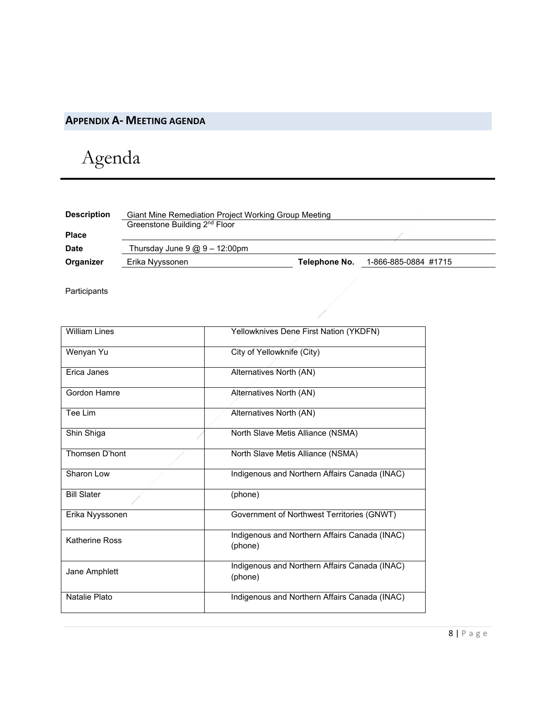### **APPENDIX A‐ MEETING AGENDA**

# Agenda

| Giant Mine Remediation Project Working Group Meeting<br><b>Description</b> |               |                      |  |
|----------------------------------------------------------------------------|---------------|----------------------|--|
| Greenstone Building 2 <sup>nd</sup> Floor                                  |               |                      |  |
|                                                                            |               |                      |  |
| Thursday June $9@9 - 12:00 \text{pm}$                                      |               |                      |  |
| Erika Nyyssonen                                                            | Telephone No. | 1-866-885-0884 #1715 |  |
|                                                                            |               |                      |  |

 $\sqrt{2}$ 

Participants

| <b>William Lines</b>  | Yellowknives Dene First Nation (YKDFN)                   |
|-----------------------|----------------------------------------------------------|
| Wenyan Yu             | City of Yellowknife (City)                               |
| Erica Janes           | Alternatives North (AN)                                  |
| Gordon Hamre          | Alternatives North (AN)                                  |
| Tee I im              | Alternatives North (AN)                                  |
| Shin Shiga            | North Slave Metis Alliance (NSMA)                        |
| Thomsen D'hont        | North Slave Metis Alliance (NSMA)                        |
| Sharon Low            | Indigenous and Northern Affairs Canada (INAC)            |
| <b>Bill Slater</b>    | (phone)                                                  |
| Erika Nyyssonen       | Government of Northwest Territories (GNWT)               |
| <b>Katherine Ross</b> | Indigenous and Northern Affairs Canada (INAC)<br>(phone) |
| Jane Amphlett         | Indigenous and Northern Affairs Canada (INAC)<br>(phone) |
| Natalie Plato         | Indigenous and Northern Affairs Canada (INAC)            |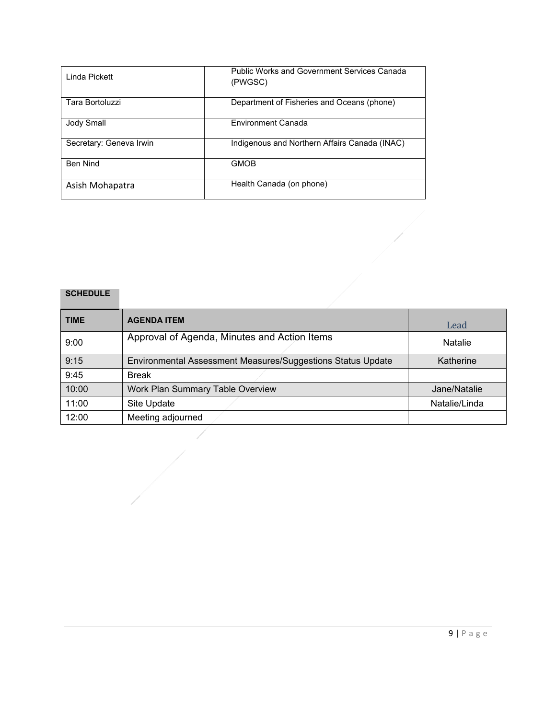| Linda Pickett           | Public Works and Government Services Canada<br>(PWGSC) |
|-------------------------|--------------------------------------------------------|
| Tara Bortoluzzi         | Department of Fisheries and Oceans (phone)             |
| Jody Small              | <b>Environment Canada</b>                              |
| Secretary: Geneva Irwin | Indigenous and Northern Affairs Canada (INAC)          |
| <b>Ben Nind</b>         | <b>GMOB</b>                                            |
| Asish Mohapatra         | Health Canada (on phone)                               |

#### **SCHEDULE**

| <b>TIME</b> | <b>AGENDA ITEM</b>                                          | Lead           |
|-------------|-------------------------------------------------------------|----------------|
| 9:00        | Approval of Agenda, Minutes and Action Items                | <b>Natalie</b> |
| 9:15        | Environmental Assessment Measures/Suggestions Status Update | Katherine      |
| 9:45        | <b>Break</b>                                                |                |
| 10:00       | Work Plan Summary Table Overview                            | Jane/Natalie   |
| 11:00       | Site Update                                                 | Natalie/Linda  |
| 12:00       | Meeting adjourned                                           |                |
|             |                                                             |                |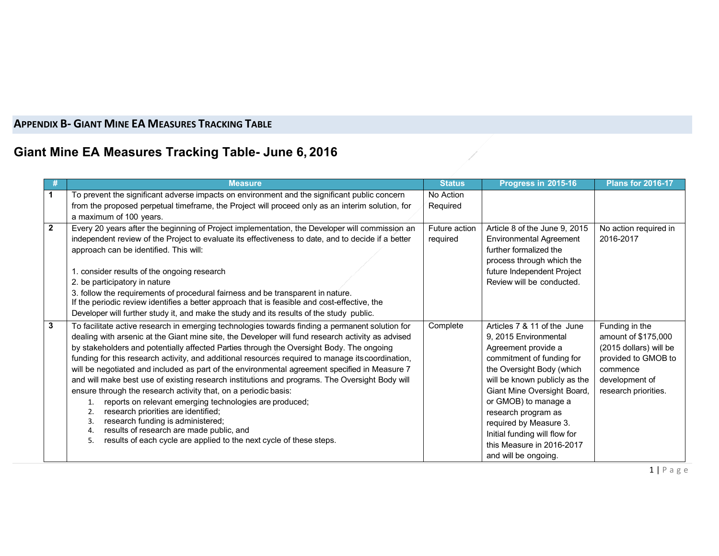#### **APPENDIX B‐ GIANT MINE EA MEASURES TRACKING TABLE**

## **Giant Mine EA Measures Tracking Table- June 6, 2016**

|                | <b>Measure</b>                                                                                                              | <b>Status</b> | Progress in 2015-16           | <b>Plans for 2016-17</b> |
|----------------|-----------------------------------------------------------------------------------------------------------------------------|---------------|-------------------------------|--------------------------|
| $\mathbf{1}$   | To prevent the significant adverse impacts on environment and the significant public concern                                | No Action     |                               |                          |
|                | from the proposed perpetual timeframe, the Project will proceed only as an interim solution, for                            | Required      |                               |                          |
|                | a maximum of 100 years.                                                                                                     |               |                               |                          |
| $\overline{2}$ | Every 20 years after the beginning of Project implementation, the Developer will commission an                              | Future action | Article 8 of the June 9, 2015 | No action required in    |
|                | independent review of the Project to evaluate its effectiveness to date, and to decide if a better                          | required      | Environmental Agreement       | 2016-2017                |
|                | approach can be identified. This will:                                                                                      |               | further formalized the        |                          |
|                |                                                                                                                             |               | process through which the     |                          |
|                | 1. consider results of the ongoing research                                                                                 |               | future Independent Project    |                          |
|                | 2. be participatory in nature                                                                                               |               | Review will be conducted.     |                          |
|                | 3. follow the requirements of procedural fairness and be transparent in nature.                                             |               |                               |                          |
|                | If the periodic review identifies a better approach that is feasible and cost-effective, the                                |               |                               |                          |
|                | Developer will further study it, and make the study and its results of the study public.                                    |               |                               |                          |
| 3              | To facilitate active research in emerging technologies towards finding a permanent solution for                             | Complete      | Articles 7 & 11 of the June   | Funding in the           |
|                | dealing with arsenic at the Giant mine site, the Developer will fund research activity as advised                           |               | 9, 2015 Environmental         | amount of \$175,000      |
|                | by stakeholders and potentially affected Parties through the Oversight Body. The ongoing                                    |               | Agreement provide a           | (2015 dollars) will be   |
|                | funding for this research activity, and additional resources required to manage its coordination,                           |               | commitment of funding for     | provided to GMOB to      |
|                | will be negotiated and included as part of the environmental agreement specified in Measure 7                               |               | the Oversight Body (which     | commence                 |
|                | and will make best use of existing research institutions and programs. The Oversight Body will                              |               | will be known publicly as the | development of           |
|                | ensure through the research activity that, on a periodic basis:                                                             |               | Giant Mine Oversight Board,   | research priorities.     |
|                | reports on relevant emerging technologies are produced;                                                                     |               | or GMOB) to manage a          |                          |
|                | research priorities are identified;                                                                                         |               | research program as           |                          |
|                | research funding is administered;<br>3.                                                                                     |               | required by Measure 3.        |                          |
|                | results of research are made public, and<br>4.<br>results of each cycle are applied to the next cycle of these steps.<br>5. |               | Initial funding will flow for |                          |
|                |                                                                                                                             |               | this Measure in 2016-2017     |                          |
|                |                                                                                                                             |               | and will be ongoing.          |                          |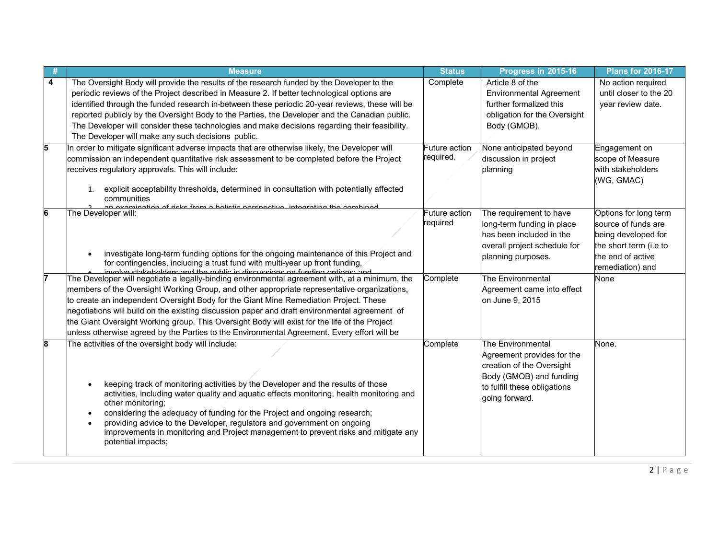|   | <b>Measure</b>                                                                                                                                                                                                                                                                                                                                                                                                                                                                                                                                                                                                                                                                                            | <b>Status</b>             | Progress in 2015-16                                                                                                                                              | <b>Plans for 2016-17</b>                                                                                                               |
|---|-----------------------------------------------------------------------------------------------------------------------------------------------------------------------------------------------------------------------------------------------------------------------------------------------------------------------------------------------------------------------------------------------------------------------------------------------------------------------------------------------------------------------------------------------------------------------------------------------------------------------------------------------------------------------------------------------------------|---------------------------|------------------------------------------------------------------------------------------------------------------------------------------------------------------|----------------------------------------------------------------------------------------------------------------------------------------|
| 4 | The Oversight Body will provide the results of the research funded by the Developer to the<br>periodic reviews of the Project described in Measure 2. If better technological options are<br>identified through the funded research in-between these periodic 20-year reviews, these will be<br>reported publicly by the Oversight Body to the Parties, the Developer and the Canadian public.<br>The Developer will consider these technologies and make decisions regarding their feasibility.<br>The Developer will make any such decisions public.                                                                                                                                                    | Complete                  | Article 8 of the<br><b>Environmental Agreement</b><br>further formalized this<br>obligation for the Oversight<br>Body (GMOB).                                    | No action required<br>until closer to the 20<br>year review date.                                                                      |
| 5 | In order to mitigate significant adverse impacts that are otherwise likely, the Developer will<br>commission an independent quantitative risk assessment to be completed before the Project<br>receives regulatory approvals. This will include:<br>explicit acceptability thresholds, determined in consultation with potentially affected<br>1.<br>communities<br>amination of ricke from a bolietic norepoetive intograting the combined                                                                                                                                                                                                                                                               | Future action<br>equired. | None anticipated beyond<br>discussion in project<br>planning                                                                                                     | Engagement on<br>scope of Measure<br>with stakeholders<br>(WG, GMAC)                                                                   |
| 6 | The Developer will:<br>investigate long-term funding options for the ongoing maintenance of this Project and<br>$\bullet$<br>for contingencies, including a trust fund with multi-year up front funding,                                                                                                                                                                                                                                                                                                                                                                                                                                                                                                  | Future action<br>equired  | The requirement to have<br>long-term funding in place<br>has been included in the<br>overall project schedule for<br>planning purposes.                          | Options for long term<br>source of funds are<br>being developed for<br>the short term (i.e to<br>the end of active<br>remediation) and |
|   | involve stakeholders and the nublic in discussions on funding ontions, and antional metallic in discussions of<br>The Developer will negotiate a legally-binding environmental agreement with, at a minimum, the<br>members of the Oversight Working Group, and other appropriate representative organizations,<br>to create an independent Oversight Body for the Giant Mine Remediation Project. These<br>negotiations will build on the existing discussion paper and draft environmental agreement of<br>the Giant Oversight Working group. This Oversight Body will exist for the life of the Project<br>unless otherwise agreed by the Parties to the Environmental Agreement. Every effort will be | Complete                  | The Environmental<br>Agreement came into effect<br>on June 9, 2015                                                                                               | None                                                                                                                                   |
| 8 | The activities of the oversight body will include:<br>keeping track of monitoring activities by the Developer and the results of those<br>$\bullet$<br>activities, including water quality and aquatic effects monitoring, health monitoring and<br>other monitoring;<br>considering the adequacy of funding for the Project and ongoing research;<br>providing advice to the Developer, regulators and government on ongoing<br>improvements in monitoring and Project management to prevent risks and mitigate any<br>potential impacts;                                                                                                                                                                | Complete                  | <b>The Environmental</b><br>Agreement provides for the<br>creation of the Oversight<br>Body (GMOB) and funding<br>to fulfill these obligations<br>going forward. | None.                                                                                                                                  |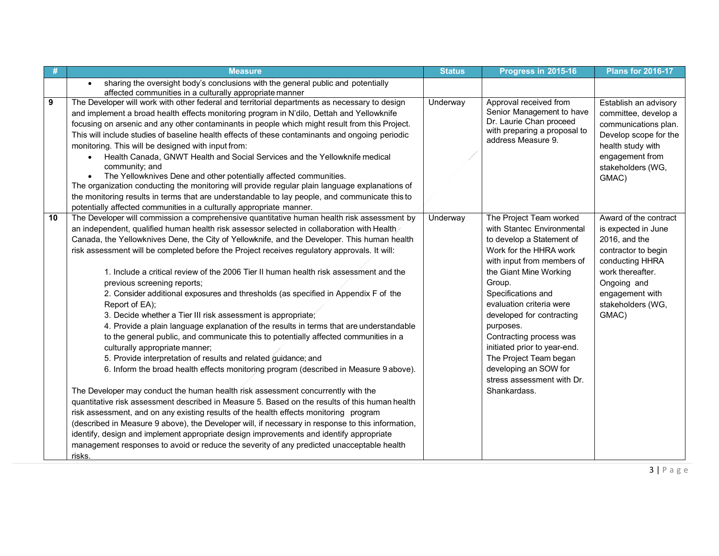|                | <b>Measure</b>                                                                                                                                                                                                                                                                                                                                                                                                                                                                                                                                                                                                                                                                                                                                                                                                                                                                                                                                                                                                                                                                                                                                                                                                                                                                                                                                                                                                                                                                                                                                                                                                                                                 | <b>Status</b> | Progress in 2015-16                                                                                                                                                                                                                                                                                                                                                                                                                    | <b>Plans for 2016-17</b>                                                                                                                                                                    |
|----------------|----------------------------------------------------------------------------------------------------------------------------------------------------------------------------------------------------------------------------------------------------------------------------------------------------------------------------------------------------------------------------------------------------------------------------------------------------------------------------------------------------------------------------------------------------------------------------------------------------------------------------------------------------------------------------------------------------------------------------------------------------------------------------------------------------------------------------------------------------------------------------------------------------------------------------------------------------------------------------------------------------------------------------------------------------------------------------------------------------------------------------------------------------------------------------------------------------------------------------------------------------------------------------------------------------------------------------------------------------------------------------------------------------------------------------------------------------------------------------------------------------------------------------------------------------------------------------------------------------------------------------------------------------------------|---------------|----------------------------------------------------------------------------------------------------------------------------------------------------------------------------------------------------------------------------------------------------------------------------------------------------------------------------------------------------------------------------------------------------------------------------------------|---------------------------------------------------------------------------------------------------------------------------------------------------------------------------------------------|
|                | sharing the oversight body's conclusions with the general public and potentially<br>affected communities in a culturally appropriate manner                                                                                                                                                                                                                                                                                                                                                                                                                                                                                                                                                                                                                                                                                                                                                                                                                                                                                                                                                                                                                                                                                                                                                                                                                                                                                                                                                                                                                                                                                                                    |               |                                                                                                                                                                                                                                                                                                                                                                                                                                        |                                                                                                                                                                                             |
| $\overline{9}$ | The Developer will work with other federal and territorial departments as necessary to design<br>and implement a broad health effects monitoring program in N'dilo, Dettah and Yellowknife<br>focusing on arsenic and any other contaminants in people which might result from this Project.<br>This will include studies of baseline health effects of these contaminants and ongoing periodic<br>monitoring. This will be designed with input from:<br>Health Canada, GNWT Health and Social Services and the Yellowknife medical<br>community; and<br>The Yellowknives Dene and other potentially affected communities.<br>The organization conducting the monitoring will provide regular plain language explanations of<br>the monitoring results in terms that are understandable to lay people, and communicate this to<br>potentially affected communities in a culturally appropriate manner.                                                                                                                                                                                                                                                                                                                                                                                                                                                                                                                                                                                                                                                                                                                                                         | Underway      | Approval received from<br>Senior Management to have<br>Dr. Laurie Chan proceed<br>with preparing a proposal to<br>address Measure 9.                                                                                                                                                                                                                                                                                                   | Establish an advisory<br>committee, develop a<br>communications plan.<br>Develop scope for the<br>health study with<br>engagement from<br>stakeholders (WG,<br>GMAC)                        |
| 10             | The Developer will commission a comprehensive quantitative human health risk assessment by<br>an independent, qualified human health risk assessor selected in collaboration with Health<br>Canada, the Yellowknives Dene, the City of Yellowknife, and the Developer. This human health<br>risk assessment will be completed before the Project receives regulatory approvals. It will:<br>1. Include a critical review of the 2006 Tier II human health risk assessment and the<br>previous screening reports;<br>2. Consider additional exposures and thresholds (as specified in Appendix F of the<br>Report of EA);<br>3. Decide whether a Tier III risk assessment is appropriate;<br>4. Provide a plain language explanation of the results in terms that are understandable<br>to the general public, and communicate this to potentially affected communities in a<br>culturally appropriate manner;<br>5. Provide interpretation of results and related guidance; and<br>6. Inform the broad health effects monitoring program (described in Measure 9 above).<br>The Developer may conduct the human health risk assessment concurrently with the<br>quantitative risk assessment described in Measure 5. Based on the results of this human health<br>risk assessment, and on any existing results of the health effects monitoring program<br>(described in Measure 9 above), the Developer will, if necessary in response to this information,<br>identify, design and implement appropriate design improvements and identify appropriate<br>management responses to avoid or reduce the severity of any predicted unacceptable health<br>risks. | Underway      | The Project Team worked<br>with Stantec Environmental<br>to develop a Statement of<br>Work for the HHRA work<br>with input from members of<br>the Giant Mine Working<br>Group.<br>Specifications and<br>evaluation criteria were<br>developed for contracting<br>purposes.<br>Contracting process was<br>initiated prior to year-end.<br>The Project Team began<br>developing an SOW for<br>stress assessment with Dr.<br>Shankardass. | Award of the contract<br>is expected in June<br>2016, and the<br>contractor to begin<br>conducting HHRA<br>work thereafter.<br>Ongoing and<br>engagement with<br>stakeholders (WG,<br>GMAC) |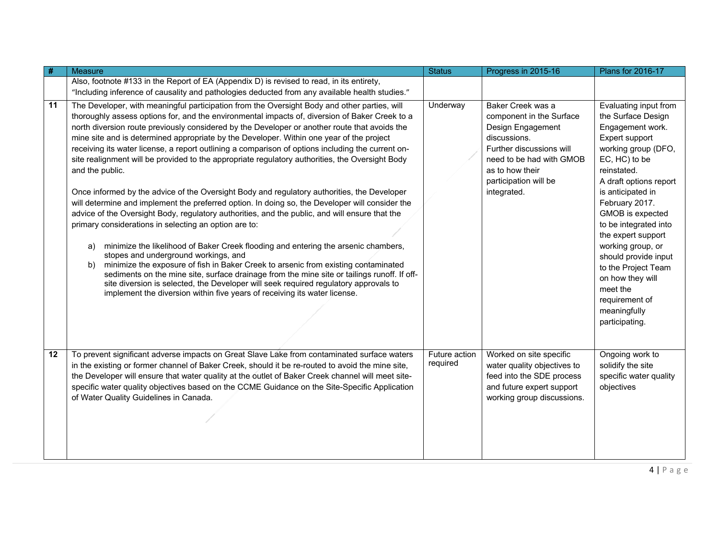| #  | <b>Measure</b>                                                                                                                                                                                                                                                                                                                                                                                                                                                                                                                                                                                                                                                                                                                                                                                                                                                                                                                                                                                                                                                                                                                                                                                                                                                                                                                                                                                                                                                                          | <b>Status</b>             | Progress in 2015-16                                                                                                                                                                                   | <b>Plans for 2016-17</b>                                                                                                                                                                                                                                                                                                                                                                                                             |
|----|-----------------------------------------------------------------------------------------------------------------------------------------------------------------------------------------------------------------------------------------------------------------------------------------------------------------------------------------------------------------------------------------------------------------------------------------------------------------------------------------------------------------------------------------------------------------------------------------------------------------------------------------------------------------------------------------------------------------------------------------------------------------------------------------------------------------------------------------------------------------------------------------------------------------------------------------------------------------------------------------------------------------------------------------------------------------------------------------------------------------------------------------------------------------------------------------------------------------------------------------------------------------------------------------------------------------------------------------------------------------------------------------------------------------------------------------------------------------------------------------|---------------------------|-------------------------------------------------------------------------------------------------------------------------------------------------------------------------------------------------------|--------------------------------------------------------------------------------------------------------------------------------------------------------------------------------------------------------------------------------------------------------------------------------------------------------------------------------------------------------------------------------------------------------------------------------------|
|    | Also, footnote #133 in the Report of EA (Appendix D) is revised to read, in its entirety,                                                                                                                                                                                                                                                                                                                                                                                                                                                                                                                                                                                                                                                                                                                                                                                                                                                                                                                                                                                                                                                                                                                                                                                                                                                                                                                                                                                               |                           |                                                                                                                                                                                                       |                                                                                                                                                                                                                                                                                                                                                                                                                                      |
|    | "Including inference of causality and pathologies deducted from any available health studies."                                                                                                                                                                                                                                                                                                                                                                                                                                                                                                                                                                                                                                                                                                                                                                                                                                                                                                                                                                                                                                                                                                                                                                                                                                                                                                                                                                                          |                           |                                                                                                                                                                                                       |                                                                                                                                                                                                                                                                                                                                                                                                                                      |
| 11 | The Developer, with meaningful participation from the Oversight Body and other parties, will<br>thoroughly assess options for, and the environmental impacts of, diversion of Baker Creek to a<br>north diversion route previously considered by the Developer or another route that avoids the<br>mine site and is determined appropriate by the Developer. Within one year of the project<br>receiving its water license, a report outlining a comparison of options including the current on-<br>site realignment will be provided to the appropriate regulatory authorities, the Oversight Body<br>and the public.<br>Once informed by the advice of the Oversight Body and regulatory authorities, the Developer<br>will determine and implement the preferred option. In doing so, the Developer will consider the<br>advice of the Oversight Body, regulatory authorities, and the public, and will ensure that the<br>primary considerations in selecting an option are to:<br>minimize the likelihood of Baker Creek flooding and entering the arsenic chambers,<br>a)<br>stopes and underground workings, and<br>minimize the exposure of fish in Baker Creek to arsenic from existing contaminated<br>b)<br>sediments on the mine site, surface drainage from the mine site or tailings runoff. If off-<br>site diversion is selected, the Developer will seek required regulatory approvals to<br>implement the diversion within five years of receiving its water license. | Underway                  | Baker Creek was a<br>component in the Surface<br>Design Engagement<br>discussions.<br>Further discussions will<br>need to be had with GMOB<br>as to how their<br>participation will be<br>integrated. | Evaluating input from<br>the Surface Design<br>Engagement work.<br>Expert support<br>working group (DFO,<br>EC, HC) to be<br>reinstated.<br>A draft options report<br>is anticipated in<br>February 2017.<br>GMOB is expected<br>to be integrated into<br>the expert support<br>working group, or<br>should provide input<br>to the Project Team<br>on how they will<br>meet the<br>requirement of<br>meaningfully<br>participating. |
| 12 | To prevent significant adverse impacts on Great Slave Lake from contaminated surface waters<br>in the existing or former channel of Baker Creek, should it be re-routed to avoid the mine site,<br>the Developer will ensure that water quality at the outlet of Baker Creek channel will meet site-<br>specific water quality objectives based on the CCME Guidance on the Site-Specific Application<br>of Water Quality Guidelines in Canada.                                                                                                                                                                                                                                                                                                                                                                                                                                                                                                                                                                                                                                                                                                                                                                                                                                                                                                                                                                                                                                         | Future action<br>required | Worked on site specific<br>water quality objectives to<br>feed into the SDE process<br>and future expert support<br>working group discussions.                                                        | Ongoing work to<br>solidify the site<br>specific water quality<br>objectives                                                                                                                                                                                                                                                                                                                                                         |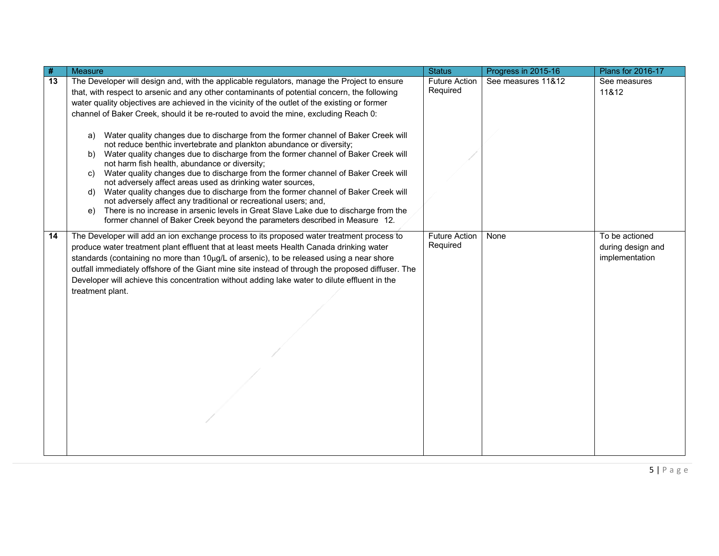| #  | <b>Measure</b>                                                                                                                                                                                                                                                                                                                                                                                                                                                                                                                                                                                                                                                                                                                                                                                                        | <b>Status</b>                    | Progress in 2015-16 | <b>Plans for 2016-17</b>                              |
|----|-----------------------------------------------------------------------------------------------------------------------------------------------------------------------------------------------------------------------------------------------------------------------------------------------------------------------------------------------------------------------------------------------------------------------------------------------------------------------------------------------------------------------------------------------------------------------------------------------------------------------------------------------------------------------------------------------------------------------------------------------------------------------------------------------------------------------|----------------------------------|---------------------|-------------------------------------------------------|
| 13 | The Developer will design and, with the applicable regulators, manage the Project to ensure<br>that, with respect to arsenic and any other contaminants of potential concern, the following<br>water quality objectives are achieved in the vicinity of the outlet of the existing or former<br>channel of Baker Creek, should it be re-routed to avoid the mine, excluding Reach 0:                                                                                                                                                                                                                                                                                                                                                                                                                                  | <b>Future Action</b><br>Required | See measures 11&12  | See measures<br>11&12                                 |
|    | Water quality changes due to discharge from the former channel of Baker Creek will<br>a)<br>not reduce benthic invertebrate and plankton abundance or diversity;<br>Water quality changes due to discharge from the former channel of Baker Creek will<br>b)<br>not harm fish health, abundance or diversity;<br>Water quality changes due to discharge from the former channel of Baker Creek will<br>C)<br>not adversely affect areas used as drinking water sources,<br>Water quality changes due to discharge from the former channel of Baker Creek will<br>d)<br>not adversely affect any traditional or recreational users; and,<br>There is no increase in arsenic levels in Great Slave Lake due to discharge from the<br>e)<br>former channel of Baker Creek beyond the parameters described in Measure 12. |                                  |                     |                                                       |
| 14 | The Developer will add an ion exchange process to its proposed water treatment process to<br>produce water treatment plant effluent that at least meets Health Canada drinking water<br>standards (containing no more than 10μg/L of arsenic), to be released using a near shore<br>outfall immediately offshore of the Giant mine site instead of through the proposed diffuser. The<br>Developer will achieve this concentration without adding lake water to dilute effluent in the<br>treatment plant.                                                                                                                                                                                                                                                                                                            | <b>Future Action</b><br>Required | None                | To be actioned<br>during design and<br>implementation |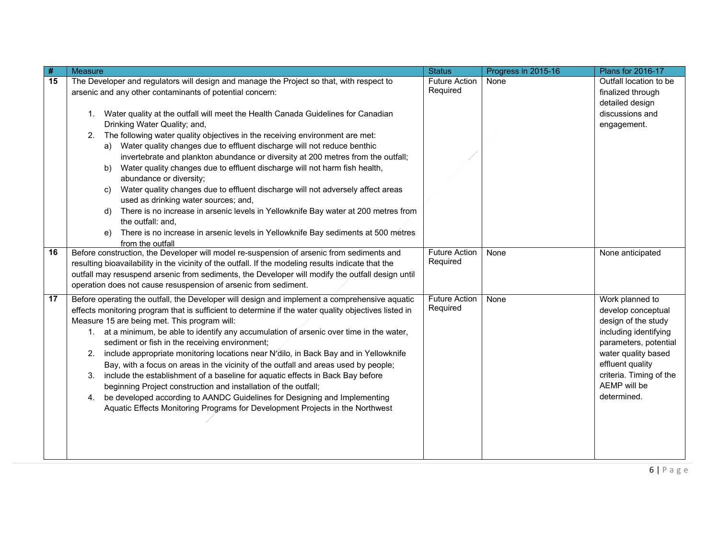| #  | <b>Measure</b>                                                                                                                                                                                                                                                                                                                                                                                                                                                                                                                                                                                                                                                                                                                                                                                                                                                                                                          | <b>Status</b>                            | Progress in 2015-16 | <b>Plans for 2016-17</b>                                                                                                                                                                                            |  |
|----|-------------------------------------------------------------------------------------------------------------------------------------------------------------------------------------------------------------------------------------------------------------------------------------------------------------------------------------------------------------------------------------------------------------------------------------------------------------------------------------------------------------------------------------------------------------------------------------------------------------------------------------------------------------------------------------------------------------------------------------------------------------------------------------------------------------------------------------------------------------------------------------------------------------------------|------------------------------------------|---------------------|---------------------------------------------------------------------------------------------------------------------------------------------------------------------------------------------------------------------|--|
| 15 | The Developer and regulators will design and manage the Project so that, with respect to<br>arsenic and any other contaminants of potential concern:                                                                                                                                                                                                                                                                                                                                                                                                                                                                                                                                                                                                                                                                                                                                                                    | <b>Future Action</b><br>None<br>Required |                     | Outfall location to be<br>finalized through<br>detailed design                                                                                                                                                      |  |
|    | 1. Water quality at the outfall will meet the Health Canada Guidelines for Canadian<br>Drinking Water Quality; and,<br>The following water quality objectives in the receiving environment are met:<br>2.<br>a) Water quality changes due to effluent discharge will not reduce benthic<br>invertebrate and plankton abundance or diversity at 200 metres from the outfall;<br>Water quality changes due to effluent discharge will not harm fish health,<br>b)<br>abundance or diversity;<br>Water quality changes due to effluent discharge will not adversely affect areas<br>C)<br>used as drinking water sources; and,<br>There is no increase in arsenic levels in Yellowknife Bay water at 200 metres from<br>d)<br>the outfall: and,<br>There is no increase in arsenic levels in Yellowknife Bay sediments at 500 metres<br>e)<br>from the outfall                                                             |                                          |                     | discussions and<br>engagement.                                                                                                                                                                                      |  |
| 16 | Before construction, the Developer will model re-suspension of arsenic from sediments and<br>resulting bioavailability in the vicinity of the outfall. If the modeling results indicate that the<br>outfall may resuspend arsenic from sediments, the Developer will modify the outfall design until<br>operation does not cause resuspension of arsenic from sediment.                                                                                                                                                                                                                                                                                                                                                                                                                                                                                                                                                 | <b>Future Action</b><br>Required         | None                | None anticipated                                                                                                                                                                                                    |  |
| 17 | Before operating the outfall, the Developer will design and implement a comprehensive aquatic<br>effects monitoring program that is sufficient to determine if the water quality objectives listed in<br>Measure 15 are being met. This program will:<br>1. at a minimum, be able to identify any accumulation of arsenic over time in the water,<br>sediment or fish in the receiving environment;<br>include appropriate monitoring locations near N'dilo, in Back Bay and in Yellowknife<br>2.<br>Bay, with a focus on areas in the vicinity of the outfall and areas used by people;<br>include the establishment of a baseline for aquatic effects in Back Bay before<br>3.<br>beginning Project construction and installation of the outfall;<br>be developed according to AANDC Guidelines for Designing and Implementing<br>4.<br>Aquatic Effects Monitoring Programs for Development Projects in the Northwest | <b>Future Action</b><br>Required         | None                | Work planned to<br>develop conceptual<br>design of the study<br>including identifying<br>parameters, potential<br>water quality based<br>effluent quality<br>criteria. Timing of the<br>AEMP will be<br>determined. |  |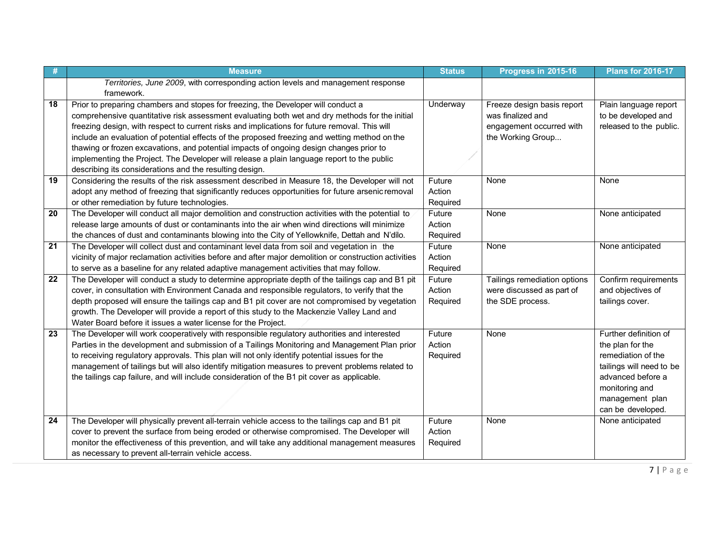| #  | <b>Measure</b>                                                                                                                                              | <b>Status</b>    | Progress in 2015-16          | <b>Plans for 2016-17</b> |
|----|-------------------------------------------------------------------------------------------------------------------------------------------------------------|------------------|------------------------------|--------------------------|
|    | Territories, June 2009, with corresponding action levels and management response                                                                            |                  |                              |                          |
|    | framework.                                                                                                                                                  |                  |                              |                          |
| 18 | Prior to preparing chambers and stopes for freezing, the Developer will conduct a                                                                           | Underway         | Freeze design basis report   | Plain language report    |
|    | comprehensive quantitative risk assessment evaluating both wet and dry methods for the initial                                                              |                  | was finalized and            | to be developed and      |
|    | freezing design, with respect to current risks and implications for future removal. This will                                                               |                  | engagement occurred with     | released to the public.  |
|    | include an evaluation of potential effects of the proposed freezing and wetting method on the                                                               |                  | the Working Group            |                          |
|    | thawing or frozen excavations, and potential impacts of ongoing design changes prior to                                                                     |                  |                              |                          |
|    | implementing the Project. The Developer will release a plain language report to the public                                                                  |                  |                              |                          |
|    | describing its considerations and the resulting design.                                                                                                     |                  |                              |                          |
| 19 | Considering the results of the risk assessment described in Measure 18, the Developer will not                                                              | Future           | None                         | None                     |
|    | adopt any method of freezing that significantly reduces opportunities for future arsenic removal                                                            | Action           |                              |                          |
|    | or other remediation by future technologies.                                                                                                                | Required         |                              |                          |
| 20 | The Developer will conduct all major demolition and construction activities with the potential to                                                           | Future           | None                         | None anticipated         |
|    | release large amounts of dust or contaminants into the air when wind directions will minimize                                                               | Action           |                              |                          |
|    | the chances of dust and contaminants blowing into the City of Yellowknife, Dettah and N'dilo.                                                               | Required         |                              |                          |
| 21 | The Developer will collect dust and contaminant level data from soil and vegetation in the                                                                  | Future           | None                         | None anticipated         |
|    | vicinity of major reclamation activities before and after major demolition or construction activities                                                       | Action           |                              |                          |
|    | to serve as a baseline for any related adaptive management activities that may follow.                                                                      | Required         |                              |                          |
| 22 | The Developer will conduct a study to determine appropriate depth of the tailings cap and B1 pit                                                            | Future<br>Action | Tailings remediation options | Confirm requirements     |
|    | cover, in consultation with Environment Canada and responsible regulators, to verify that the                                                               |                  | were discussed as part of    | and objectives of        |
|    | depth proposed will ensure the tailings cap and B1 pit cover are not compromised by vegetation                                                              | Required         | the SDE process.             | tailings cover.          |
|    | growth. The Developer will provide a report of this study to the Mackenzie Valley Land and<br>Water Board before it issues a water license for the Project. |                  |                              |                          |
| 23 | The Developer will work cooperatively with responsible regulatory authorities and interested                                                                | Future           | None                         | Further definition of    |
|    | Parties in the development and submission of a Tailings Monitoring and Management Plan prior                                                                | Action           |                              | the plan for the         |
|    | to receiving regulatory approvals. This plan will not only identify potential issues for the                                                                | Required         |                              | remediation of the       |
|    | management of tailings but will also identify mitigation measures to prevent problems related to                                                            |                  |                              | tailings will need to be |
|    | the tailings cap failure, and will include consideration of the B1 pit cover as applicable.                                                                 |                  |                              | advanced before a        |
|    |                                                                                                                                                             |                  |                              | monitoring and           |
|    |                                                                                                                                                             |                  |                              | management plan          |
|    |                                                                                                                                                             |                  |                              | can be developed.        |
| 24 | The Developer will physically prevent all-terrain vehicle access to the tailings cap and B1 pit                                                             | Future           | None                         | None anticipated         |
|    | cover to prevent the surface from being eroded or otherwise compromised. The Developer will                                                                 | Action           |                              |                          |
|    | monitor the effectiveness of this prevention, and will take any additional management measures                                                              | Required         |                              |                          |
|    | as necessary to prevent all-terrain vehicle access.                                                                                                         |                  |                              |                          |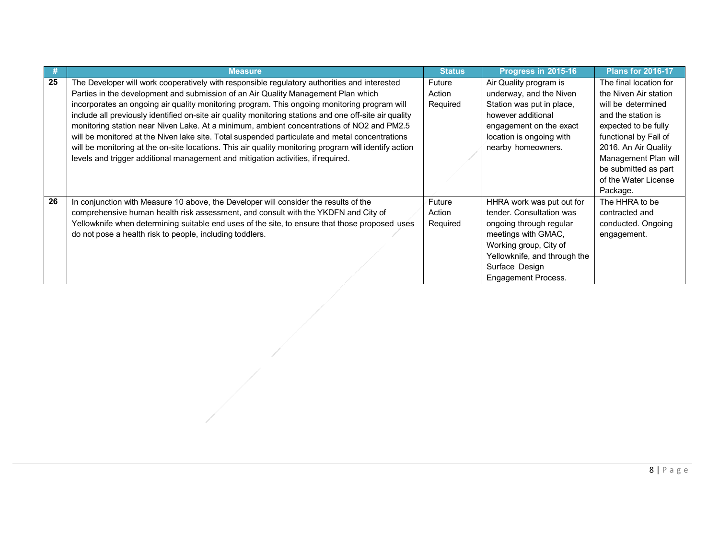| -# | <b>Measure</b>                                                                                         | <b>Status</b> | Progress in 2015-16          | <b>Plans for 2016-17</b> |
|----|--------------------------------------------------------------------------------------------------------|---------------|------------------------------|--------------------------|
| 25 | The Developer will work cooperatively with responsible regulatory authorities and interested           | Future        | Air Quality program is       | The final location for   |
|    | Parties in the development and submission of an Air Quality Management Plan which                      | Action        | underway, and the Niven      | the Niven Air station    |
|    | incorporates an ongoing air quality monitoring program. This ongoing monitoring program will           | Required      | Station was put in place,    | will be determined       |
|    | include all previously identified on-site air quality monitoring stations and one off-site air quality |               | however additional           | and the station is       |
|    | monitoring station near Niven Lake. At a minimum, ambient concentrations of NO2 and PM2.5              |               | engagement on the exact      | expected to be fully     |
|    | will be monitored at the Niven lake site. Total suspended particulate and metal concentrations         |               | location is ongoing with     | functional by Fall of    |
|    | will be monitoring at the on-site locations. This air quality monitoring program will identify action  |               | nearby homeowners.           | 2016. An Air Quality     |
|    | levels and trigger additional management and mitigation activities, if required.                       |               |                              | Management Plan will     |
|    |                                                                                                        |               |                              | be submitted as part     |
|    |                                                                                                        |               |                              | of the Water License     |
|    |                                                                                                        |               |                              | Package.                 |
| 26 | In conjunction with Measure 10 above, the Developer will consider the results of the                   | Future        | HHRA work was put out for    | The HHRA to be           |
|    | comprehensive human health risk assessment, and consult with the YKDFN and City of                     | Action        | tender. Consultation was     | contracted and           |
|    | Yellowknife when determining suitable end uses of the site, to ensure that those proposed uses         | Required      | ongoing through regular      | conducted. Ongoing       |
|    | do not pose a health risk to people, including toddlers.                                               |               | meetings with GMAC,          | engagement.              |
|    |                                                                                                        |               | Working group, City of       |                          |
|    |                                                                                                        |               | Yellowknife, and through the |                          |
|    |                                                                                                        |               | Surface Design               |                          |
|    |                                                                                                        |               | Engagement Process.          |                          |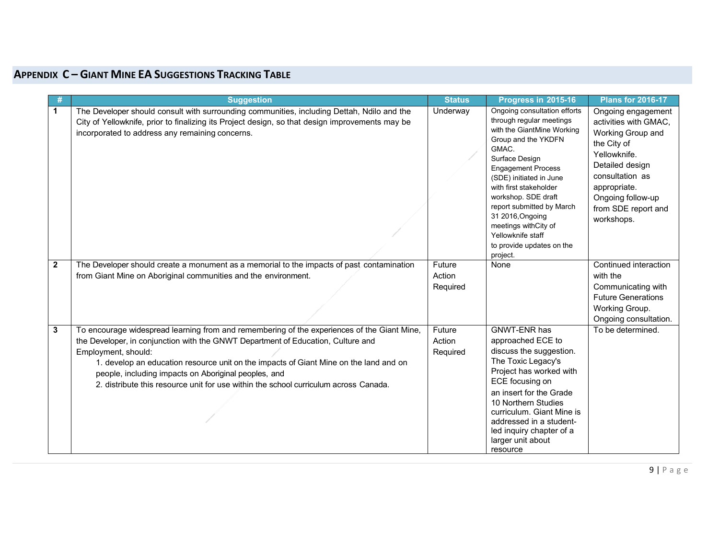#### **APPENDIX C – GIANT MINE EA SUGGESTIONS TRACKING TABLE**

|              | <b>Suggestion</b>                                                                                                                                                                                                                                                                                                                                                                                                                               | <b>Status</b>                | Progress in 2015-16                                                                                                                                                                                                                                                                                                                                                                      | <b>Plans for 2016-17</b>                                                                                                                                                                                        |
|--------------|-------------------------------------------------------------------------------------------------------------------------------------------------------------------------------------------------------------------------------------------------------------------------------------------------------------------------------------------------------------------------------------------------------------------------------------------------|------------------------------|------------------------------------------------------------------------------------------------------------------------------------------------------------------------------------------------------------------------------------------------------------------------------------------------------------------------------------------------------------------------------------------|-----------------------------------------------------------------------------------------------------------------------------------------------------------------------------------------------------------------|
| 1            | The Developer should consult with surrounding communities, including Dettah, Ndilo and the<br>City of Yellowknife, prior to finalizing its Project design, so that design improvements may be<br>incorporated to address any remaining concerns.                                                                                                                                                                                                | Underway                     | Ongoing consultation efforts<br>through regular meetings<br>with the GiantMine Working<br>Group and the YKDFN<br>GMAC.<br>Surface Design<br><b>Engagement Process</b><br>(SDE) initiated in June<br>with first stakeholder<br>workshop. SDE draft<br>report submitted by March<br>31 2016, Ongoing<br>meetings withCity of<br>Yellowknife staff<br>to provide updates on the<br>project. | Ongoing engagement<br>activities with GMAC,<br>Working Group and<br>the City of<br>Yellowknife.<br>Detailed design<br>consultation as<br>appropriate.<br>Ongoing follow-up<br>from SDE report and<br>workshops. |
| $\mathbf{2}$ | The Developer should create a monument as a memorial to the impacts of past contamination<br>from Giant Mine on Aboriginal communities and the environment.                                                                                                                                                                                                                                                                                     | Future<br>Action<br>Required | None                                                                                                                                                                                                                                                                                                                                                                                     | Continued interaction<br>with the<br>Communicating with<br><b>Future Generations</b><br>Working Group.<br>Ongoing consultation.                                                                                 |
| 3            | To encourage widespread learning from and remembering of the experiences of the Giant Mine,<br>the Developer, in conjunction with the GNWT Department of Education, Culture and<br>Employment, should:<br>1. develop an education resource unit on the impacts of Giant Mine on the land and on<br>people, including impacts on Aboriginal peoples, and<br>2. distribute this resource unit for use within the school curriculum across Canada. | Future<br>Action<br>Required | GNWT-ENR has<br>approached ECE to<br>discuss the suggestion.<br>The Toxic Legacy's<br>Project has worked with<br>ECE focusing on<br>an insert for the Grade<br>10 Northern Studies<br>curriculum. Giant Mine is<br>addressed in a student-<br>led inquiry chapter of a<br>larger unit about<br>resource                                                                                  | To be determined.                                                                                                                                                                                               |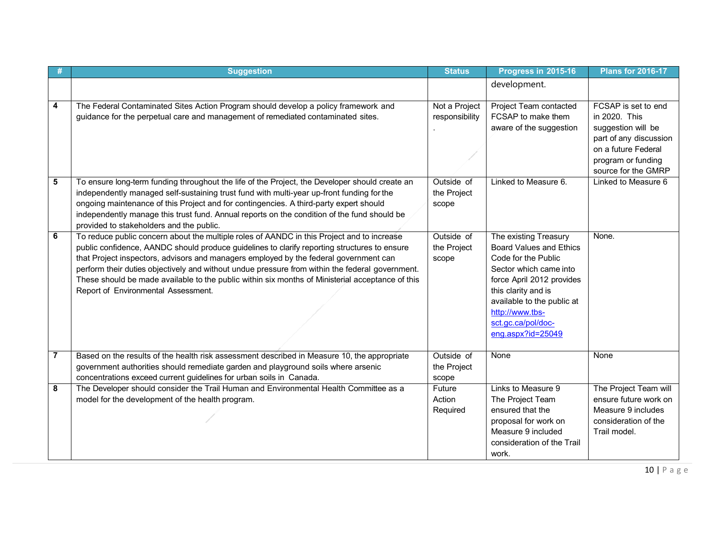|                         | <b>Suggestion</b>                                                                                                                                                                     | <b>Status</b>   | Progress in 2015-16                               | <b>Plans for 2016-17</b>             |
|-------------------------|---------------------------------------------------------------------------------------------------------------------------------------------------------------------------------------|-----------------|---------------------------------------------------|--------------------------------------|
|                         |                                                                                                                                                                                       |                 | development.                                      |                                      |
|                         |                                                                                                                                                                                       |                 |                                                   |                                      |
| 4                       | The Federal Contaminated Sites Action Program should develop a policy framework and<br>guidance for the perpetual care and management of remediated contaminated sites.               | Not a Project   | Project Team contacted<br>FCSAP to make them      | FCSAP is set to end<br>in 2020. This |
|                         |                                                                                                                                                                                       | responsibility  | aware of the suggestion                           | suggestion will be                   |
|                         |                                                                                                                                                                                       |                 |                                                   | part of any discussion               |
|                         |                                                                                                                                                                                       |                 |                                                   | on a future Federal                  |
|                         |                                                                                                                                                                                       |                 |                                                   | program or funding                   |
|                         |                                                                                                                                                                                       |                 |                                                   | source for the GMRP                  |
| 5                       | To ensure long-term funding throughout the life of the Project, the Developer should create an                                                                                        | Outside of      | Linked to Measure 6.                              | Linked to Measure 6                  |
|                         | independently managed self-sustaining trust fund with multi-year up-front funding for the                                                                                             | the Project     |                                                   |                                      |
|                         | ongoing maintenance of this Project and for contingencies. A third-party expert should<br>independently manage this trust fund. Annual reports on the condition of the fund should be | scope           |                                                   |                                      |
|                         | provided to stakeholders and the public.                                                                                                                                              |                 |                                                   |                                      |
| 6                       | To reduce public concern about the multiple roles of AANDC in this Project and to increase                                                                                            | Outside of      | The existing Treasury                             | None.                                |
|                         | public confidence, AANDC should produce guidelines to clarify reporting structures to ensure                                                                                          | the Project     | <b>Board Values and Ethics</b>                    |                                      |
|                         | that Project inspectors, advisors and managers employed by the federal government can                                                                                                 | scope           | Code for the Public                               |                                      |
|                         | perform their duties objectively and without undue pressure from within the federal government.                                                                                       |                 | Sector which came into                            |                                      |
|                         | These should be made available to the public within six months of Ministerial acceptance of this                                                                                      |                 | force April 2012 provides                         |                                      |
|                         | Report of Environmental Assessment.                                                                                                                                                   |                 | this clarity and is<br>available to the public at |                                      |
|                         |                                                                                                                                                                                       |                 | http://www.tbs-                                   |                                      |
|                         |                                                                                                                                                                                       |                 | sct.gc.ca/pol/doc-                                |                                      |
|                         |                                                                                                                                                                                       |                 | eng.aspx?id=25049                                 |                                      |
|                         |                                                                                                                                                                                       |                 |                                                   |                                      |
| $\overline{\mathbf{r}}$ | Based on the results of the health risk assessment described in Measure 10, the appropriate                                                                                           | Outside of      | None                                              | None                                 |
|                         | government authorities should remediate garden and playground soils where arsenic<br>concentrations exceed current guidelines for urban soils in Canada.                              | the Project     |                                                   |                                      |
| 8                       | The Developer should consider the Trail Human and Environmental Health Committee as a                                                                                                 | scope<br>Future | Links to Measure 9                                | The Project Team will                |
|                         | model for the development of the health program.                                                                                                                                      | Action          | The Project Team                                  | ensure future work on                |
|                         |                                                                                                                                                                                       | Required        | ensured that the                                  | Measure 9 includes                   |
|                         |                                                                                                                                                                                       |                 | proposal for work on                              | consideration of the                 |
|                         |                                                                                                                                                                                       |                 | Measure 9 included                                | Trail model.                         |
|                         |                                                                                                                                                                                       |                 | consideration of the Trail                        |                                      |
|                         |                                                                                                                                                                                       |                 | work.                                             |                                      |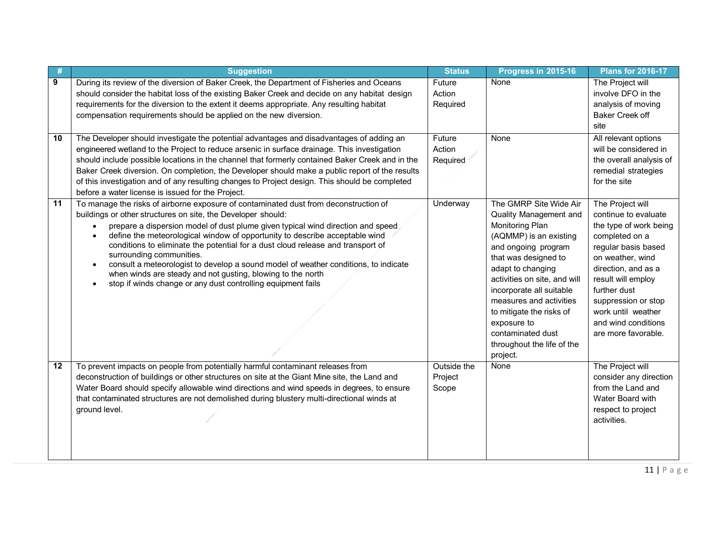|                 | <b>Suggestion</b>                                                                                                                                                                                                                                                                                                                                                                                                                                                                                                                                                                                                                                           | <b>Status</b>                   | Progress in 2015-16                                                                                                                                                                                                                                                                                                                                                | <b>Plans for 2016-17</b>                                                                                                                                                                                                                                                                |
|-----------------|-------------------------------------------------------------------------------------------------------------------------------------------------------------------------------------------------------------------------------------------------------------------------------------------------------------------------------------------------------------------------------------------------------------------------------------------------------------------------------------------------------------------------------------------------------------------------------------------------------------------------------------------------------------|---------------------------------|--------------------------------------------------------------------------------------------------------------------------------------------------------------------------------------------------------------------------------------------------------------------------------------------------------------------------------------------------------------------|-----------------------------------------------------------------------------------------------------------------------------------------------------------------------------------------------------------------------------------------------------------------------------------------|
| $\overline{9}$  | During its review of the diversion of Baker Creek, the Department of Fisheries and Oceans<br>should consider the habitat loss of the existing Baker Creek and decide on any habitat design<br>requirements for the diversion to the extent it deems appropriate. Any resulting habitat<br>compensation requirements should be applied on the new diversion.                                                                                                                                                                                                                                                                                                 | Future<br>Action<br>Required    | None                                                                                                                                                                                                                                                                                                                                                               | The Project will<br>involve DFO in the<br>analysis of moving<br><b>Baker Creek off</b><br>site                                                                                                                                                                                          |
| 10              | The Developer should investigate the potential advantages and disadvantages of adding an<br>engineered wetland to the Project to reduce arsenic in surface drainage. This investigation<br>should include possible locations in the channel that formerly contained Baker Creek and in the<br>Baker Creek diversion. On completion, the Developer should make a public report of the results<br>of this investigation and of any resulting changes to Project design. This should be completed<br>before a water license is issued for the Project.                                                                                                         | Future<br>Action<br>Required    | None                                                                                                                                                                                                                                                                                                                                                               | All relevant options<br>will be considered in<br>the overall analysis of<br>remedial strategies<br>for the site                                                                                                                                                                         |
| 11              | To manage the risks of airborne exposure of contaminated dust from deconstruction of<br>buildings or other structures on site, the Developer should:<br>prepare a dispersion model of dust plume given typical wind direction and speed<br>define the meteorological window of opportunity to describe acceptable wind<br>conditions to eliminate the potential for a dust cloud release and transport of<br>surrounding communities.<br>consult a meteorologist to develop a sound model of weather conditions, to indicate<br>when winds are steady and not gusting, blowing to the north<br>stop if winds change or any dust controlling equipment fails | Underway                        | The GMRP Site Wide Air<br>Quality Management and<br>Monitoring Plan<br>(AQMMP) is an existing<br>and ongoing program<br>that was designed to<br>adapt to changing<br>activities on site, and will<br>incorporate all suitable<br>measures and activities<br>to mitigate the risks of<br>exposure to<br>contaminated dust<br>throughout the life of the<br>project. | The Project will<br>continue to evaluate<br>the type of work being<br>completed on a<br>regular basis based<br>on weather, wind<br>direction, and as a<br>result will employ<br>further dust<br>suppression or stop<br>work until weather<br>and wind conditions<br>are more favorable. |
| $\overline{12}$ | To prevent impacts on people from potentially harmful contaminant releases from<br>deconstruction of buildings or other structures on site at the Giant Mine site, the Land and<br>Water Board should specify allowable wind directions and wind speeds in degrees, to ensure<br>that contaminated structures are not demolished during blustery multi-directional winds at<br>ground level.                                                                                                                                                                                                                                                                | Outside the<br>Project<br>Scope | None                                                                                                                                                                                                                                                                                                                                                               | The Project will<br>consider any direction<br>from the Land and<br>Water Board with<br>respect to project<br>activities.                                                                                                                                                                |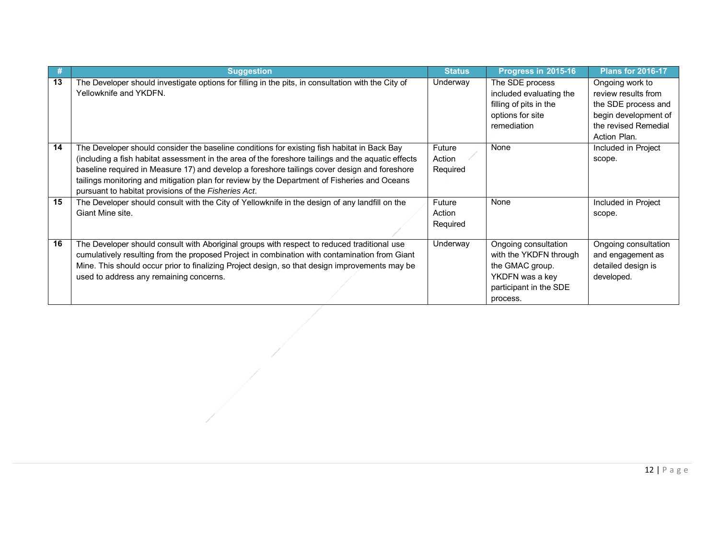| #  | <b>Suggestion</b>                                                                                                                                                                                                                                                                                                                                                                                                                                         | <b>Status</b>                | Progress in 2015-16                                                                                                        | <b>Plans for 2016-17</b>                                                                                                      |
|----|-----------------------------------------------------------------------------------------------------------------------------------------------------------------------------------------------------------------------------------------------------------------------------------------------------------------------------------------------------------------------------------------------------------------------------------------------------------|------------------------------|----------------------------------------------------------------------------------------------------------------------------|-------------------------------------------------------------------------------------------------------------------------------|
| 13 | The Developer should investigate options for filling in the pits, in consultation with the City of<br>Yellowknife and YKDFN.                                                                                                                                                                                                                                                                                                                              | Underway                     | The SDE process<br>included evaluating the<br>filling of pits in the<br>options for site<br>remediation                    | Ongoing work to<br>review results from<br>the SDE process and<br>begin development of<br>the revised Remedial<br>Action Plan. |
| 14 | The Developer should consider the baseline conditions for existing fish habitat in Back Bay<br>(including a fish habitat assessment in the area of the foreshore tailings and the aquatic effects<br>baseline required in Measure 17) and develop a foreshore tailings cover design and foreshore<br>tailings monitoring and mitigation plan for review by the Department of Fisheries and Oceans<br>pursuant to habitat provisions of the Fisheries Act. | Future<br>Action<br>Required | None                                                                                                                       | Included in Project<br>scope.                                                                                                 |
| 15 | The Developer should consult with the City of Yellowknife in the design of any landfill on the<br>Giant Mine site.                                                                                                                                                                                                                                                                                                                                        | Future<br>Action<br>Required | None                                                                                                                       | Included in Project<br>scope.                                                                                                 |
| 16 | The Developer should consult with Aboriginal groups with respect to reduced traditional use<br>cumulatively resulting from the proposed Project in combination with contamination from Giant<br>Mine. This should occur prior to finalizing Project design, so that design improvements may be<br>used to address any remaining concerns.                                                                                                                 | Underway                     | Ongoing consultation<br>with the YKDFN through<br>the GMAC group.<br>YKDFN was a key<br>participant in the SDE<br>process. | Ongoing consultation<br>and engagement as<br>detailed design is<br>developed.                                                 |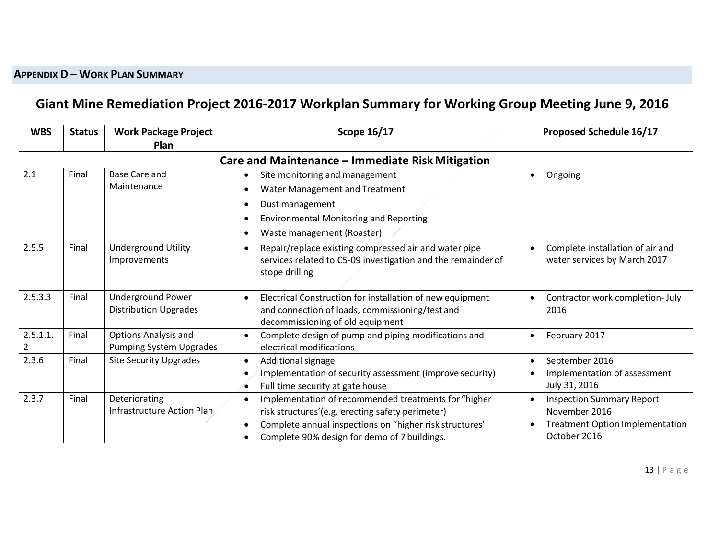#### **APPENDIX D – WORK PLAN SUMMARY**

## **Giant Mine Remediation Project 2016‐2017 Workplan Summary for Working Group Meeting June 9, 2016**

| <b>WBS</b>                 | <b>Status</b> | <b>Work Package Project</b>                                   | <b>Scope 16/17</b>                                                                                                                                                                                                  | <b>Proposed Schedule 16/17</b>                                                                              |
|----------------------------|---------------|---------------------------------------------------------------|---------------------------------------------------------------------------------------------------------------------------------------------------------------------------------------------------------------------|-------------------------------------------------------------------------------------------------------------|
|                            |               | Plan                                                          |                                                                                                                                                                                                                     |                                                                                                             |
|                            |               |                                                               | Care and Maintenance - Immediate Risk Mitigation                                                                                                                                                                    |                                                                                                             |
| 2.1                        | Final         | <b>Base Care and</b><br>Maintenance                           | Site monitoring and management<br>Water Management and Treatment<br>Dust management<br>$\bullet$<br><b>Environmental Monitoring and Reporting</b><br>Waste management (Roaster)                                     | Ongoing                                                                                                     |
| 2.5.5                      | Final         | <b>Underground Utility</b><br>Improvements                    | Repair/replace existing compressed air and water pipe<br>services related to C5-09 investigation and the remainder of<br>stope drilling                                                                             | Complete installation of air and<br>water services by March 2017                                            |
| 2.5.3.3                    | Final         | <b>Underground Power</b><br><b>Distribution Upgrades</b>      | Electrical Construction for installation of new equipment<br>and connection of loads, commissioning/test and<br>decommissioning of old equipment                                                                    | Contractor work completion- July<br>2016                                                                    |
| 2.5.1.1.<br>$\overline{2}$ | Final         | <b>Options Analysis and</b><br><b>Pumping System Upgrades</b> | Complete design of pump and piping modifications and<br>electrical modifications                                                                                                                                    | February 2017                                                                                               |
| 2.3.6                      | Final         | <b>Site Security Upgrades</b>                                 | Additional signage<br>Implementation of security assessment (improve security)<br>Full time security at gate house                                                                                                  | September 2016<br>Implementation of assessment<br>July 31, 2016                                             |
| 2.3.7                      | Final         | Deteriorating<br>Infrastructure Action Plan                   | Implementation of recommended treatments for "higher<br>risk structures'(e.g. erecting safety perimeter)<br>Complete annual inspections on "higher risk structures'<br>Complete 90% design for demo of 7 buildings. | <b>Inspection Summary Report</b><br>November 2016<br><b>Treatment Option Implementation</b><br>October 2016 |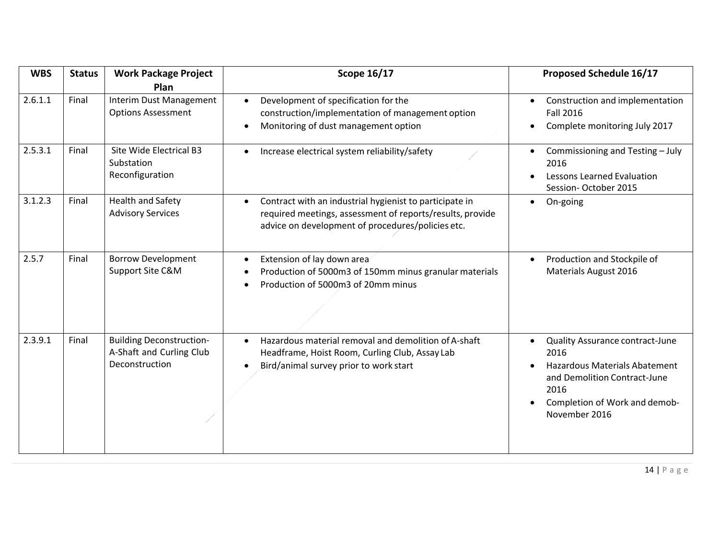| <b>WBS</b> | <b>Status</b> | <b>Work Package Project</b>                                                   | <b>Scope 16/17</b>                                                                                                                                                        | <b>Proposed Schedule 16/17</b>                                                                                                                                                   |
|------------|---------------|-------------------------------------------------------------------------------|---------------------------------------------------------------------------------------------------------------------------------------------------------------------------|----------------------------------------------------------------------------------------------------------------------------------------------------------------------------------|
|            |               | Plan                                                                          |                                                                                                                                                                           |                                                                                                                                                                                  |
| 2.6.1.1    | Final         | Interim Dust Management<br><b>Options Assessment</b>                          | Development of specification for the<br>$\bullet$<br>construction/implementation of management option<br>Monitoring of dust management option<br>$\bullet$                | Construction and implementation<br>$\bullet$<br><b>Fall 2016</b><br>Complete monitoring July 2017                                                                                |
| 2.5.3.1    | Final         | Site Wide Electrical B3<br>Substation<br>Reconfiguration                      | Increase electrical system reliability/safety<br>$\bullet$                                                                                                                | Commissioning and Testing - July<br>2016<br>Lessons Learned Evaluation<br>Session-October 2015                                                                                   |
| 3.1.2.3    | Final         | <b>Health and Safety</b><br><b>Advisory Services</b>                          | Contract with an industrial hygienist to participate in<br>required meetings, assessment of reports/results, provide<br>advice on development of procedures/policies etc. | On-going                                                                                                                                                                         |
| 2.5.7      | Final         | <b>Borrow Development</b><br>Support Site C&M                                 | Extension of lay down area<br>Production of 5000m3 of 150mm minus granular materials<br>Production of 5000m3 of 20mm minus                                                | Production and Stockpile of<br><b>Materials August 2016</b>                                                                                                                      |
| 2.3.9.1    | Final         | <b>Building Deconstruction-</b><br>A-Shaft and Curling Club<br>Deconstruction | Hazardous material removal and demolition of A-shaft<br>Headframe, Hoist Room, Curling Club, Assay Lab<br>Bird/animal survey prior to work start                          | <b>Quality Assurance contract-June</b><br>2016<br><b>Hazardous Materials Abatement</b><br>and Demolition Contract-June<br>2016<br>Completion of Work and demob-<br>November 2016 |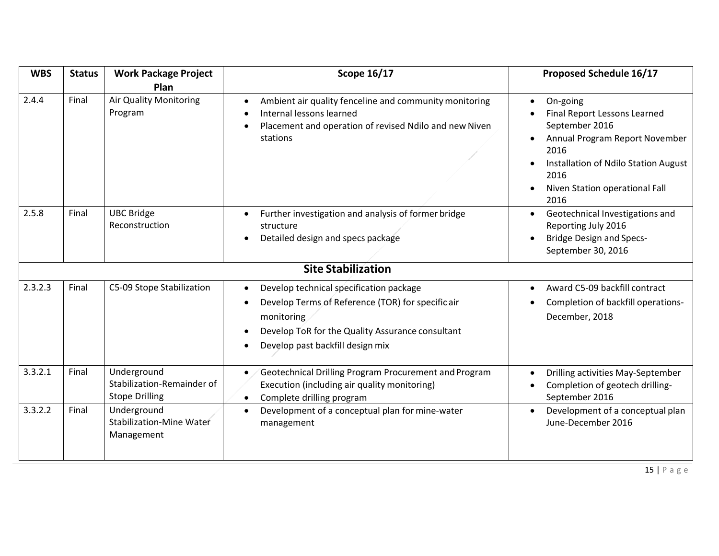| <b>WBS</b> | <b>Status</b> | <b>Work Package Project</b>                                        | <b>Scope 16/17</b>                                                                                                                                                                                                           | Proposed Schedule 16/17                                                                                                                                                                                                  |
|------------|---------------|--------------------------------------------------------------------|------------------------------------------------------------------------------------------------------------------------------------------------------------------------------------------------------------------------------|--------------------------------------------------------------------------------------------------------------------------------------------------------------------------------------------------------------------------|
|            |               | Plan                                                               |                                                                                                                                                                                                                              |                                                                                                                                                                                                                          |
| 2.4.4      | Final         | <b>Air Quality Monitoring</b><br>Program                           | Ambient air quality fenceline and community monitoring<br>$\bullet$<br>Internal lessons learned<br>Placement and operation of revised Ndilo and new Niven<br>stations                                                        | On-going<br>$\bullet$<br>Final Report Lessons Learned<br>September 2016<br>Annual Program Report November<br>2016<br>Installation of Ndilo Station August<br>$\bullet$<br>2016<br>Niven Station operational Fall<br>2016 |
| 2.5.8      | Final         | <b>UBC Bridge</b><br>Reconstruction                                | Further investigation and analysis of former bridge<br>structure<br>Detailed design and specs package<br>$\bullet$<br><b>Site Stabilization</b>                                                                              | Geotechnical Investigations and<br>Reporting July 2016<br><b>Bridge Design and Specs-</b><br>$\bullet$<br>September 30, 2016                                                                                             |
|            |               |                                                                    |                                                                                                                                                                                                                              |                                                                                                                                                                                                                          |
| 2.3.2.3    | Final         | C5-09 Stope Stabilization                                          | Develop technical specification package<br>Develop Terms of Reference (TOR) for specific air<br>$\bullet$<br>monitoring<br>Develop ToR for the Quality Assurance consultant<br>Develop past backfill design mix<br>$\bullet$ | Award C5-09 backfill contract<br>Completion of backfill operations-<br>December, 2018                                                                                                                                    |
| 3.3.2.1    | Final         | Underground<br>Stabilization-Remainder of<br><b>Stope Drilling</b> | Geotechnical Drilling Program Procurement and Program<br>Execution (including air quality monitoring)<br>Complete drilling program<br>$\bullet$                                                                              | Drilling activities May-September<br>Completion of geotech drilling-<br>September 2016                                                                                                                                   |
| 3.3.2.2    | Final         | Underground<br><b>Stabilization-Mine Water</b><br>Management       | Development of a conceptual plan for mine-water<br>$\bullet$<br>management                                                                                                                                                   | Development of a conceptual plan<br>June-December 2016                                                                                                                                                                   |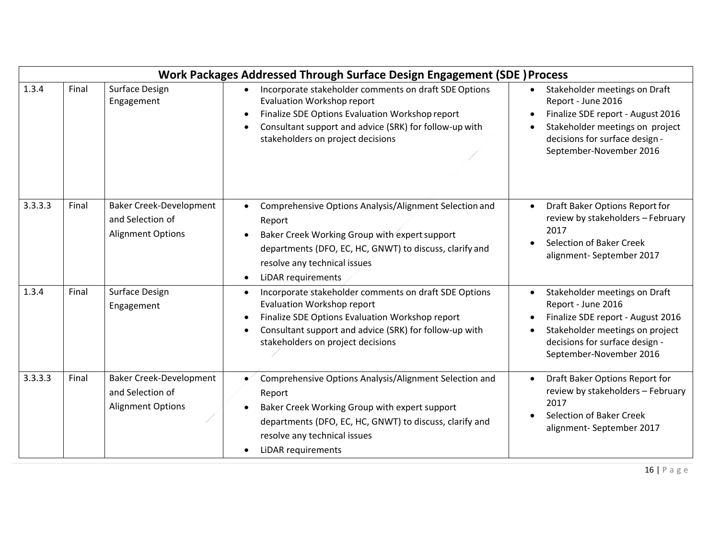|         |       |                                                                                | Work Packages Addressed Through Surface Design Engagement (SDE) Process                                                                                                                                                                                   |                                                                                                                                                                                          |
|---------|-------|--------------------------------------------------------------------------------|-----------------------------------------------------------------------------------------------------------------------------------------------------------------------------------------------------------------------------------------------------------|------------------------------------------------------------------------------------------------------------------------------------------------------------------------------------------|
| 1.3.4   | Final | Surface Design<br>Engagement                                                   | Incorporate stakeholder comments on draft SDE Options<br><b>Evaluation Workshop report</b><br>Finalize SDE Options Evaluation Workshop report<br>Consultant support and advice (SRK) for follow-up with<br>stakeholders on project decisions              | Stakeholder meetings on Draft<br>Report - June 2016<br>Finalize SDE report - August 2016<br>Stakeholder meetings on project<br>decisions for surface design -<br>September-November 2016 |
| 3.3.3.3 | Final | <b>Baker Creek-Development</b><br>and Selection of<br><b>Alignment Options</b> | Comprehensive Options Analysis/Alignment Selection and<br>Report<br>Baker Creek Working Group with expert support<br>departments (DFO, EC, HC, GNWT) to discuss, clarify and<br>resolve any technical issues<br>LiDAR requirements                        | Draft Baker Options Report for<br>review by stakeholders - February<br>2017<br><b>Selection of Baker Creek</b><br>alignment- September 2017                                              |
| 1.3.4   | Final | Surface Design<br>Engagement                                                   | Incorporate stakeholder comments on draft SDE Options<br>$\bullet$<br><b>Evaluation Workshop report</b><br>Finalize SDE Options Evaluation Workshop report<br>Consultant support and advice (SRK) for follow-up with<br>stakeholders on project decisions | Stakeholder meetings on Draft<br>Report - June 2016<br>Finalize SDE report - August 2016<br>Stakeholder meetings on project<br>decisions for surface design -<br>September-November 2016 |
| 3.3.3.3 | Final | <b>Baker Creek-Development</b><br>and Selection of<br><b>Alignment Options</b> | Comprehensive Options Analysis/Alignment Selection and<br>$\bullet$<br>Report<br>Baker Creek Working Group with expert support<br>departments (DFO, EC, HC, GNWT) to discuss, clarify and<br>resolve any technical issues<br>LiDAR requirements           | Draft Baker Options Report for<br>review by stakeholders - February<br>2017<br><b>Selection of Baker Creek</b><br>alignment-September 2017                                               |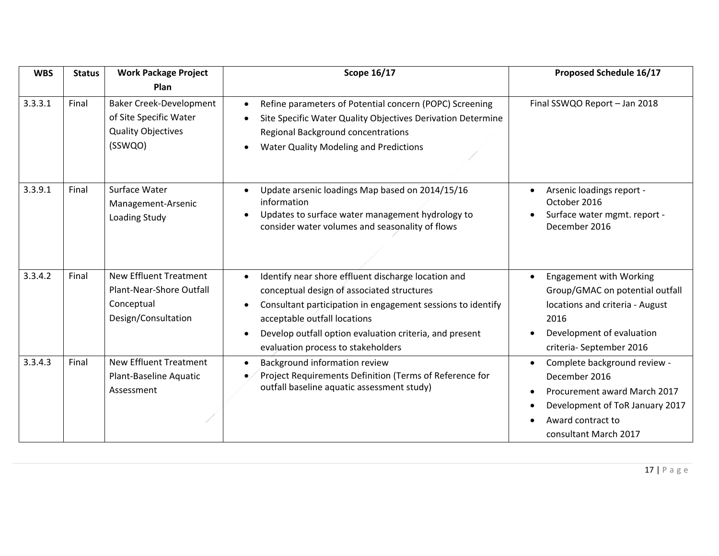| <b>WBS</b> | <b>Status</b> | <b>Work Package Project</b>                                                                      | <b>Scope 16/17</b>                                                                                                                                                                                                                                                                                | Proposed Schedule 16/17                                                                                                                                                     |
|------------|---------------|--------------------------------------------------------------------------------------------------|---------------------------------------------------------------------------------------------------------------------------------------------------------------------------------------------------------------------------------------------------------------------------------------------------|-----------------------------------------------------------------------------------------------------------------------------------------------------------------------------|
|            |               | Plan                                                                                             |                                                                                                                                                                                                                                                                                                   |                                                                                                                                                                             |
| 3.3.3.1    | Final         | <b>Baker Creek-Development</b><br>of Site Specific Water<br><b>Quality Objectives</b><br>(SSWQO) | Refine parameters of Potential concern (POPC) Screening<br>$\bullet$<br>Site Specific Water Quality Objectives Derivation Determine<br>$\bullet$<br><b>Regional Background concentrations</b><br>Water Quality Modeling and Predictions                                                           | Final SSWQO Report - Jan 2018                                                                                                                                               |
| 3.3.9.1    | Final         | Surface Water<br>Management-Arsenic<br>Loading Study                                             | Update arsenic loadings Map based on 2014/15/16<br>information<br>Updates to surface water management hydrology to<br>consider water volumes and seasonality of flows                                                                                                                             | Arsenic loadings report -<br>$\bullet$<br>October 2016<br>Surface water mgmt. report -<br>December 2016                                                                     |
| 3.3.4.2    | Final         | <b>New Effluent Treatment</b><br>Plant-Near-Shore Outfall<br>Conceptual<br>Design/Consultation   | Identify near shore effluent discharge location and<br>conceptual design of associated structures<br>Consultant participation in engagement sessions to identify<br>acceptable outfall locations<br>Develop outfall option evaluation criteria, and present<br>evaluation process to stakeholders | <b>Engagement with Working</b><br>Group/GMAC on potential outfall<br>locations and criteria - August<br>2016<br>Development of evaluation<br>criteria-September 2016        |
| 3.3.4.3    | Final         | <b>New Effluent Treatment</b><br>Plant-Baseline Aquatic<br>Assessment                            | Background information review<br>Project Requirements Definition (Terms of Reference for<br>outfall baseline aquatic assessment study)                                                                                                                                                            | Complete background review -<br>$\bullet$<br>December 2016<br>Procurement award March 2017<br>Development of ToR January 2017<br>Award contract to<br>consultant March 2017 |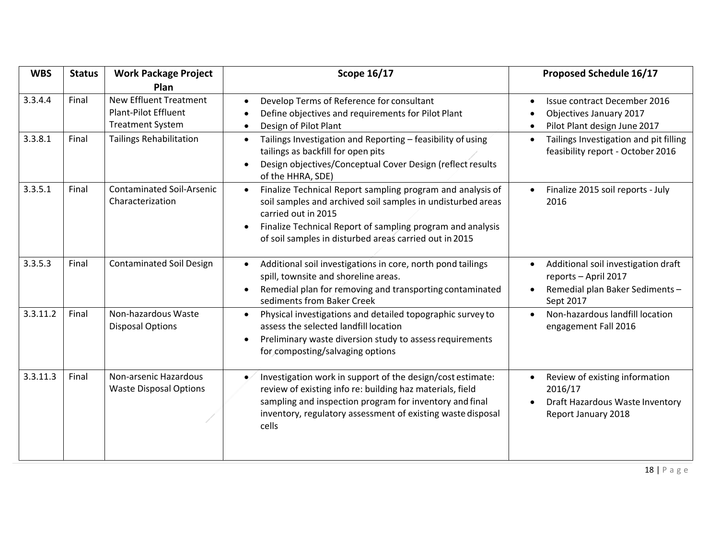| <b>WBS</b> | <b>Status</b> | <b>Work Package Project</b>                                                             | <b>Scope 16/17</b>                                                                                                                                                                                                                                                                    | Proposed Schedule 16/17                                                                                    |
|------------|---------------|-----------------------------------------------------------------------------------------|---------------------------------------------------------------------------------------------------------------------------------------------------------------------------------------------------------------------------------------------------------------------------------------|------------------------------------------------------------------------------------------------------------|
|            |               | Plan                                                                                    |                                                                                                                                                                                                                                                                                       |                                                                                                            |
| 3.3.4.4    | Final         | <b>New Effluent Treatment</b><br><b>Plant-Pilot Effluent</b><br><b>Treatment System</b> | Develop Terms of Reference for consultant<br>Define objectives and requirements for Pilot Plant<br>Design of Pilot Plant<br>$\bullet$                                                                                                                                                 | Issue contract December 2016<br>Objectives January 2017<br>Pilot Plant design June 2017                    |
| 3.3.8.1    | Final         | <b>Tailings Rehabilitation</b>                                                          | Tailings Investigation and Reporting - feasibility of using<br>$\bullet$<br>tailings as backfill for open pits<br>Design objectives/Conceptual Cover Design (reflect results<br>of the HHRA, SDE)                                                                                     | Tailings Investigation and pit filling<br>feasibility report - October 2016                                |
| 3.3.5.1    | Final         | <b>Contaminated Soil-Arsenic</b><br>Characterization                                    | Finalize Technical Report sampling program and analysis of<br>$\bullet$<br>soil samples and archived soil samples in undisturbed areas<br>carried out in 2015<br>Finalize Technical Report of sampling program and analysis<br>of soil samples in disturbed areas carried out in 2015 | Finalize 2015 soil reports - July<br>2016                                                                  |
| 3.3.5.3    | Final         | <b>Contaminated Soil Design</b>                                                         | Additional soil investigations in core, north pond tailings<br>spill, townsite and shoreline areas.<br>Remedial plan for removing and transporting contaminated<br>sediments from Baker Creek                                                                                         | Additional soil investigation draft<br>reports - April 2017<br>Remedial plan Baker Sediments-<br>Sept 2017 |
| 3.3.11.2   | Final         | Non-hazardous Waste<br><b>Disposal Options</b>                                          | Physical investigations and detailed topographic survey to<br>assess the selected landfill location<br>Preliminary waste diversion study to assess requirements<br>for composting/salvaging options                                                                                   | Non-hazardous landfill location<br>engagement Fall 2016                                                    |
| 3.3.11.3   | Final         | Non-arsenic Hazardous<br><b>Waste Disposal Options</b>                                  | Investigation work in support of the design/cost estimate:<br>review of existing info re: building haz materials, field<br>sampling and inspection program for inventory and final<br>inventory, regulatory assessment of existing waste disposal<br>cells                            | Review of existing information<br>2016/17<br>Draft Hazardous Waste Inventory<br>Report January 2018        |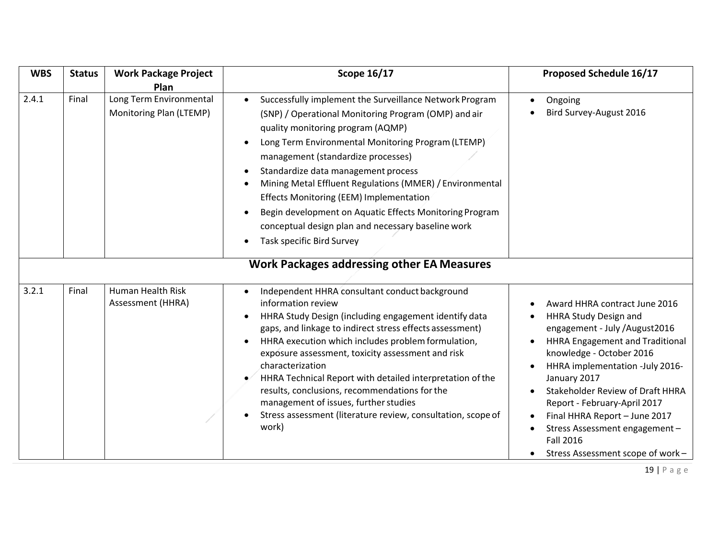| <b>WBS</b> | <b>Status</b> | <b>Work Package Project</b>                        | <b>Scope 16/17</b>                                                                                                                                                                                                                                                                                                                                                                                                                                                                                                                                                                                            | <b>Proposed Schedule 16/17</b>                                                                                                                                                                                                                                                                                                                                                                                 |
|------------|---------------|----------------------------------------------------|---------------------------------------------------------------------------------------------------------------------------------------------------------------------------------------------------------------------------------------------------------------------------------------------------------------------------------------------------------------------------------------------------------------------------------------------------------------------------------------------------------------------------------------------------------------------------------------------------------------|----------------------------------------------------------------------------------------------------------------------------------------------------------------------------------------------------------------------------------------------------------------------------------------------------------------------------------------------------------------------------------------------------------------|
|            |               | Plan                                               |                                                                                                                                                                                                                                                                                                                                                                                                                                                                                                                                                                                                               |                                                                                                                                                                                                                                                                                                                                                                                                                |
| 2.4.1      | Final         | Long Term Environmental<br>Monitoring Plan (LTEMP) | Successfully implement the Surveillance Network Program<br>$\bullet$<br>(SNP) / Operational Monitoring Program (OMP) and air<br>quality monitoring program (AQMP)<br>Long Term Environmental Monitoring Program (LTEMP)<br>management (standardize processes)<br>Standardize data management process<br>Mining Metal Effluent Regulations (MMER) / Environmental<br><b>Effects Monitoring (EEM) Implementation</b><br>Begin development on Aquatic Effects Monitoring Program<br>conceptual design plan and necessary baseline work<br><b>Task specific Bird Survey</b>                                       | Ongoing<br>Bird Survey-August 2016                                                                                                                                                                                                                                                                                                                                                                             |
| 3.2.1      | Final         | Human Health Risk<br>Assessment (HHRA)             | <b>Work Packages addressing other EA Measures</b><br>Independent HHRA consultant conduct background<br>information review<br>HHRA Study Design (including engagement identify data<br>gaps, and linkage to indirect stress effects assessment)<br>HHRA execution which includes problem formulation,<br>exposure assessment, toxicity assessment and risk<br>characterization<br>HHRA Technical Report with detailed interpretation of the<br>results, conclusions, recommendations for the<br>management of issues, further studies<br>Stress assessment (literature review, consultation, scope of<br>work) | Award HHRA contract June 2016<br><b>HHRA Study Design and</b><br>engagement - July /August2016<br>HHRA Engagement and Traditional<br>knowledge - October 2016<br>HHRA implementation -July 2016-<br>January 2017<br>Stakeholder Review of Draft HHRA<br>Report - February-April 2017<br>Final HHRA Report - June 2017<br>Stress Assessment engagement-<br><b>Fall 2016</b><br>Stress Assessment scope of work- |